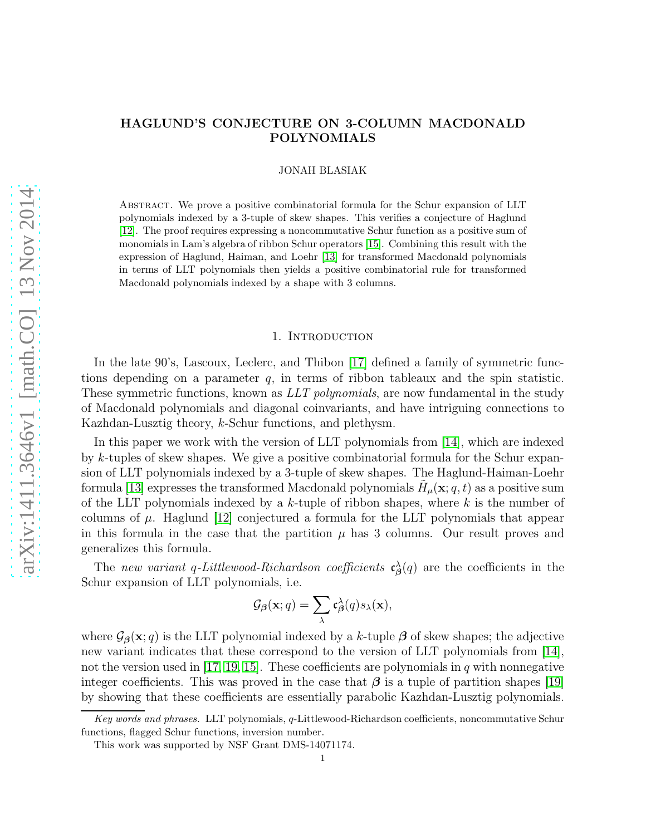# HAGLUND'S CONJECTURE ON 3-COLUMN MACDONALD POLYNOMIALS

JONAH BLASIAK

Abstract. We prove a positive combinatorial formula for the Schur expansion of LLT polynomials indexed by a 3-tuple of skew shapes. This verifies a conjecture of Haglund [\[12\]](#page-29-0). The proof requires expressing a noncommutative Schur function as a positive sum of monomials in Lam's algebra of ribbon Schur operators [\[15\]](#page-29-1). Combining this result with the expression of Haglund, Haiman, and Loehr [\[13\]](#page-29-2) for transformed Macdonald polynomials in terms of LLT polynomials then yields a positive combinatorial rule for transformed Macdonald polynomials indexed by a shape with 3 columns.

#### 1. INTRODUCTION

In the late 90's, Lascoux, Leclerc, and Thibon [\[17\]](#page-29-3) defined a family of symmetric functions depending on a parameter  $q$ , in terms of ribbon tableaux and the spin statistic. These symmetric functions, known as LLT polynomials, are now fundamental in the study of Macdonald polynomials and diagonal coinvariants, and have intriguing connections to Kazhdan-Lusztig theory, k-Schur functions, and plethysm.

In this paper we work with the version of LLT polynomials from [\[14\]](#page-29-4), which are indexed by k-tuples of skew shapes. We give a positive combinatorial formula for the Schur expansion of LLT polynomials indexed by a 3-tuple of skew shapes. The Haglund-Haiman-Loehr formula [\[13\]](#page-29-2) expresses the transformed Macdonald polynomials  $\tilde{H}_{\mu}(\mathbf{x}; q, t)$  as a positive sum of the LLT polynomials indexed by a  $k$ -tuple of ribbon shapes, where  $k$  is the number of columns of  $\mu$ . Haglund [\[12\]](#page-29-0) conjectured a formula for the LLT polynomials that appear in this formula in the case that the partition  $\mu$  has 3 columns. Our result proves and generalizes this formula.

The new variant q-Littlewood-Richardson coefficients  $\mathfrak{c}_{\beta}^{\lambda}(q)$  are the coefficients in the Schur expansion of LLT polynomials, i.e.

$$
\mathcal{G}_{\beta}(\mathbf{x};q) = \sum_{\lambda} \mathfrak{c}_{\beta}^{\lambda}(q) s_{\lambda}(\mathbf{x}),
$$

where  $\mathcal{G}_{\beta}(\mathbf{x}; q)$  is the LLT polynomial indexed by a k-tuple  $\beta$  of skew shapes; the adjective new variant indicates that these correspond to the version of LLT polynomials from [\[14\]](#page-29-4), not the version used in [\[17,](#page-29-3) [19,](#page-29-5) [15\]](#page-29-1). These coefficients are polynomials in q with nonnegative integer coefficients. This was proved in the case that  $\beta$  is a tuple of partition shapes [\[19\]](#page-29-5) by showing that these coefficients are essentially parabolic Kazhdan-Lusztig polynomials.

Key words and phrases. LLT polynomials, q-Littlewood-Richardson coefficients, noncommutative Schur functions, flagged Schur functions, inversion number.

This work was supported by NSF Grant DMS-14071174.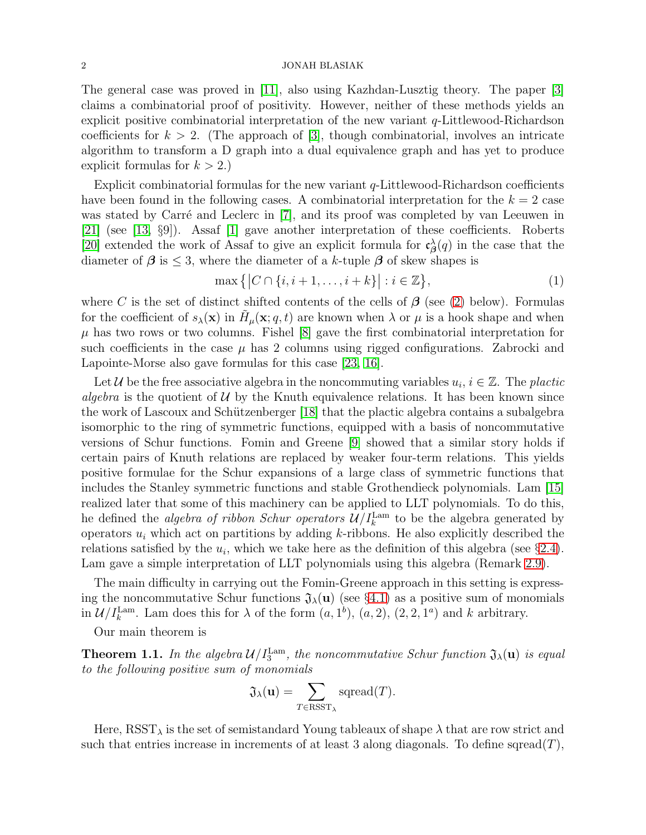The general case was proved in [\[11\]](#page-29-6), also using Kazhdan-Lusztig theory. The paper [\[3\]](#page-28-0) claims a combinatorial proof of positivity. However, neither of these methods yields an explicit positive combinatorial interpretation of the new variant  $q$ -Littlewood-Richardson coefficients for  $k > 2$ . (The approach of [\[3\]](#page-28-0), though combinatorial, involves an intricate algorithm to transform a D graph into a dual equivalence graph and has yet to produce explicit formulas for  $k > 2$ .)

Explicit combinatorial formulas for the new variant  $q$ -Littlewood-Richardson coefficients have been found in the following cases. A combinatorial interpretation for the  $k = 2$  case was stated by Carré and Leclerc in [\[7\]](#page-28-1), and its proof was completed by van Leeuwen in [\[21\]](#page-29-7) (see [\[13,](#page-29-2) §9]). Assaf [\[1\]](#page-28-2) gave another interpretation of these coefficients. Roberts [\[20\]](#page-29-8) extended the work of Assaf to give an explicit formula for  $\mathfrak{c}_{\beta}^{\lambda}(q)$  in the case that the diameter of  $\beta$  is  $\leq$  3, where the diameter of a k-tuple  $\beta$  of skew shapes is

<span id="page-1-1"></span>
$$
\max\{|C \cap \{i, i+1, \dots, i+k\}| : i \in \mathbb{Z}\},\tag{1}
$$

where C is the set of distinct shifted contents of the cells of  $\beta$  (see [\(2\)](#page-2-0) below). Formulas for the coefficient of  $s_\lambda(\mathbf{x})$  in  $\tilde{H}_\mu(\mathbf{x};q,t)$  are known when  $\lambda$  or  $\mu$  is a hook shape and when  $\mu$  has two rows or two columns. Fishel [\[8\]](#page-29-9) gave the first combinatorial interpretation for such coefficients in the case  $\mu$  has 2 columns using rigged configurations. Zabrocki and Lapointe-Morse also gave formulas for this case [\[23,](#page-29-10) [16\]](#page-29-11).

Let U be the free associative algebra in the noncommuting variables  $u_i, i \in \mathbb{Z}$ . The plactic algebra is the quotient of  $\mathcal U$  by the Knuth equivalence relations. It has been known since the work of Lascoux and Schützenberger [\[18\]](#page-29-12) that the plactic algebra contains a subalgebra isomorphic to the ring of symmetric functions, equipped with a basis of noncommutative versions of Schur functions. Fomin and Greene [\[9\]](#page-29-13) showed that a similar story holds if certain pairs of Knuth relations are replaced by weaker four-term relations. This yields positive formulae for the Schur expansions of a large class of symmetric functions that includes the Stanley symmetric functions and stable Grothendieck polynomials. Lam [\[15\]](#page-29-1) realized later that some of this machinery can be applied to LLT polynomials. To do this, he defined the *algebra of ribbon Schur operators*  $\mathcal{U}/I_k^{\text{Lam}}$  to be the algebra generated by operators  $u_i$  which act on partitions by adding k-ribbons. He also explicitly described the relations satisfied by the  $u_i$ , which we take here as the definition of this algebra (see §[2.4\)](#page-4-0). Lam gave a simple interpretation of LLT polynomials using this algebra (Remark [2.9\)](#page-9-0).

The main difficulty in carrying out the Fomin-Greene approach in this setting is expressing the noncommutative Schur functions  $\mathfrak{J}_{\lambda}(\mathbf{u})$  (see §[4.1\)](#page-14-0) as a positive sum of monomials in  $\mathcal{U}/I_k^{\text{Lam}}$ . Lam does this for  $\lambda$  of the form  $(a, 1^b)$ ,  $(a, 2)$ ,  $(2, 2, 1^a)$  and k arbitrary.

Our main theorem is

<span id="page-1-0"></span>**Theorem 1.1.** In the algebra  $\mathcal{U}/I_3^{\text{Lam}}$ , the noncommutative Schur function  $\mathfrak{J}_{\lambda}(\mathbf{u})$  is equal to the following positive sum of monomials

$$
\mathfrak{J}_{\lambda}(\mathbf{u}) = \sum_{T \in \text{RSST}_{\lambda}} \text{spread}(T).
$$

Here,  $RSST_{\lambda}$  is the set of semistandard Young tableaux of shape  $\lambda$  that are row strict and such that entries increase in increments of at least 3 along diagonals. To define sqread $(T)$ ,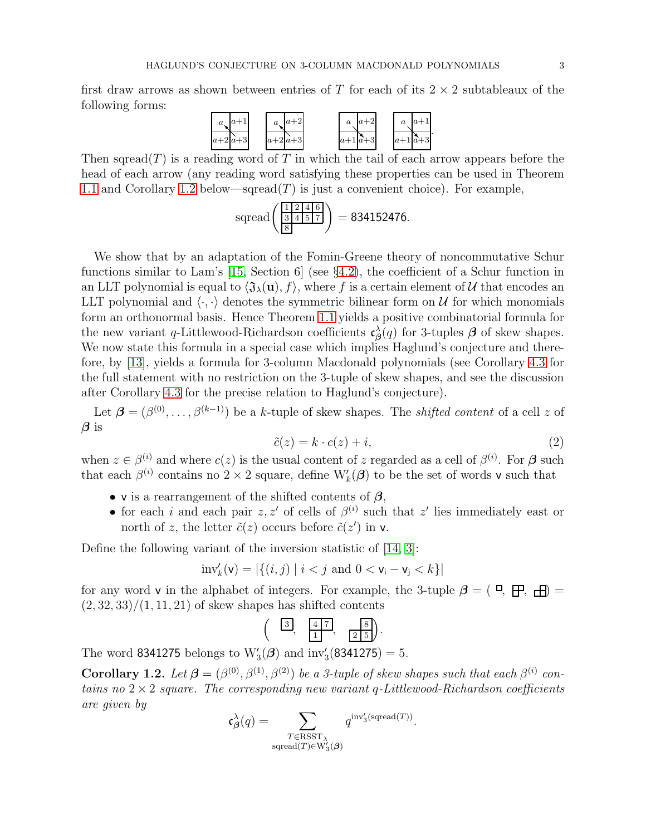first draw arrows as shown between entries of T for each of its  $2 \times 2$  subtableaux of the following forms:



Then sqread(T) is a reading word of T in which the tail of each arrow appears before the head of each arrow (any reading word satisfying these properties can be used in Theorem [1.1](#page-1-0) and Corollary [1.2](#page-2-1) below—sqread(T) is just a convenient choice). For example,



We show that by an adaptation of the Fomin-Greene theory of noncommutative Schur functions similar to Lam's [\[15,](#page-29-1) Section 6] (see §[4.2\)](#page-16-0), the coefficient of a Schur function in an LLT polynomial is equal to  $\langle \mathfrak{J}_{\lambda}(\mathbf{u}), f \rangle$ , where f is a certain element of U that encodes an LLT polynomial and  $\langle \cdot, \cdot \rangle$  denotes the symmetric bilinear form on U for which monomials form an orthonormal basis. Hence Theorem [1.1](#page-1-0) yields a positive combinatorial formula for the new variant q-Littlewood-Richardson coefficients  $\mathfrak{c}_{\beta}^{\lambda}(q)$  for 3-tuples  $\beta$  of skew shapes. We now state this formula in a special case which implies Haglund's conjecture and therefore, by [\[13\]](#page-29-2), yields a formula for 3-column Macdonald polynomials (see Corollary [4.3](#page-17-0) for the full statement with no restriction on the 3-tuple of skew shapes, and see the discussion after Corollary [4.3](#page-17-0) for the precise relation to Haglund's conjecture).

Let  $\boldsymbol{\beta} = (\beta^{(0)}, \ldots, \beta^{(k-1)})$  be a k-tuple of skew shapes. The *shifted content* of a cell z of  $\beta$  is

<span id="page-2-0"></span>
$$
\tilde{c}(z) = k \cdot c(z) + i,\tag{2}
$$

when  $z \in \beta^{(i)}$  and where  $c(z)$  is the usual content of z regarded as a cell of  $\beta^{(i)}$ . For  $\beta$  such that each  $\beta^{(i)}$  contains no 2 × 2 square, define  $W'_{k}(\boldsymbol{\beta})$  to be the set of words v such that

- v is a rearrangement of the shifted contents of  $\beta$ ,
- for each i and each pair  $z, z'$  of cells of  $\beta^{(i)}$  such that  $z'$  lies immediately east or north of z, the letter  $\tilde{c}(z)$  occurs before  $\tilde{c}(z')$  in v.

Define the following variant of the inversion statistic of [\[14,](#page-29-4) [3\]](#page-28-0):

$$
\text{inv}'_k(\mathbf{v}) = |\{(i, j) \mid i < j \text{ and } 0 < \mathbf{v}_i - \mathbf{v}_j < k\}|
$$

for any word v in the alphabet of integers. For example, the 3-tuple  $\beta = (F, \Box, \Box)$  $(2, 32, 33)/(1, 11, 21)$  of skew shapes has shifted contents

$$
\left(\begin{array}{cc}3, & \frac{4}{1}, & \frac{8}{25}\end{array}\right).
$$

The word 8341275 belongs to  $W'_{3}(\boldsymbol{\beta})$  and  $inv'_{3}(8341275) = 5$ .

<span id="page-2-1"></span>**Corollary 1.2.** Let  $\boldsymbol{\beta} = (\beta^{(0)}, \beta^{(1)}, \beta^{(2)})$  be a 3-tuple of skew shapes such that each  $\beta^{(i)}$  contains no  $2 \times 2$  square. The corresponding new variant q-Littlewood-Richardson coefficients are given by

$$
\mathfrak{c}_{\pmb{\beta}}^{\lambda}(q) = \sum_{\substack{T \in \text{RSST}_{\lambda} \\ \text{spread}(T) \in \mathcal{W}'_3(\pmb{\beta})}} q^{\text{inv}'_3(\text{spread}(T))}.
$$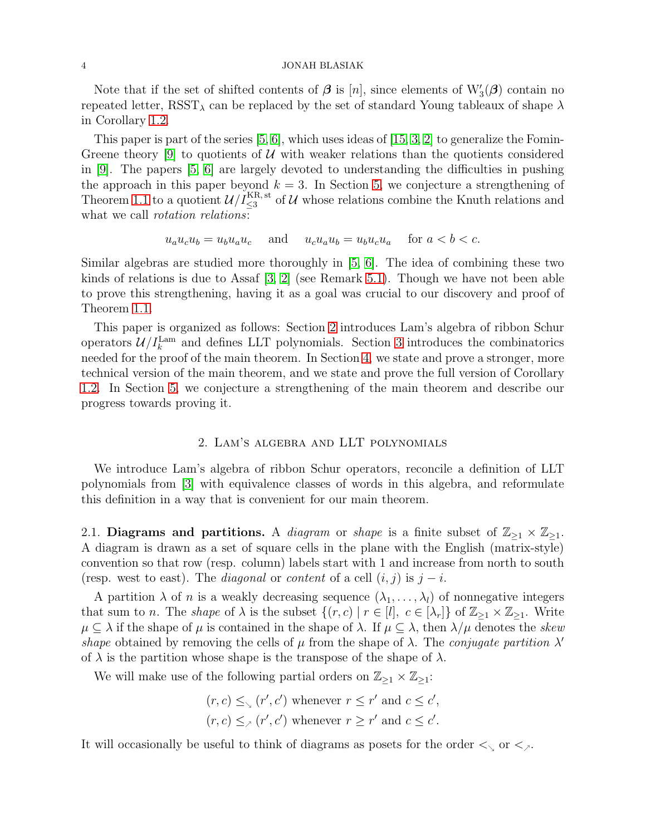Note that if the set of shifted contents of  $\beta$  is [n], since elements of  $W'_{3}(\beta)$  contain no repeated letter, RSST<sub> $\lambda$ </sub> can be replaced by the set of standard Young tableaux of shape  $\lambda$ in Corollary [1.2.](#page-2-1)

This paper is part of the series  $[5, 6]$  $[5, 6]$ , which uses ideas of  $[15, 3, 2]$  $[15, 3, 2]$  $[15, 3, 2]$  to generalize the Fomin-Greene theory [\[9\]](#page-29-13) to quotients of U with weaker relations than the quotients considered in [\[9\]](#page-29-13). The papers [\[5,](#page-28-3) [6\]](#page-28-4) are largely devoted to understanding the difficulties in pushing the approach in this paper beyond  $k = 3$ . In Section [5,](#page-27-0) we conjecture a strengthening of Theorem [1.1](#page-1-0) to a quotient  $\mathcal{U}/I_{\leq 3}^{\text{KR, st}}$  of U whose relations combine the Knuth relations and what we call *rotation relations*:

$$
u_a u_c u_b = u_b u_a u_c \quad \text{and} \quad u_c u_a u_b = u_b u_c u_a \quad \text{for } a < b < c.
$$

Similar algebras are studied more thoroughly in [\[5,](#page-28-3) [6\]](#page-28-4). The idea of combining these two kinds of relations is due to Assaf [\[3,](#page-28-0) [2\]](#page-28-5) (see Remark [5.1\)](#page-27-1). Though we have not been able to prove this strengthening, having it as a goal was crucial to our discovery and proof of Theorem [1.1.](#page-1-0)

This paper is organized as follows: Section [2](#page-3-0) introduces Lam's algebra of ribbon Schur operators  $\mathcal{U}/I_k^{\text{Lam}}$  and defines LLT polynomials. Section [3](#page-9-1) introduces the combinatorics needed for the proof of the main theorem. In Section [4,](#page-14-1) we state and prove a stronger, more technical version of the main theorem, and we state and prove the full version of Corollary [1.2.](#page-2-1) In Section [5,](#page-27-0) we conjecture a strengthening of the main theorem and describe our progress towards proving it.

### 2. Lam's algebra and LLT polynomials

<span id="page-3-0"></span>We introduce Lam's algebra of ribbon Schur operators, reconcile a definition of LLT polynomials from [\[3\]](#page-28-0) with equivalence classes of words in this algebra, and reformulate this definition in a way that is convenient for our main theorem.

<span id="page-3-1"></span>2.1. Diagrams and partitions. A *diagram* or *shape* is a finite subset of  $\mathbb{Z}_{\geq 1} \times \mathbb{Z}_{\geq 1}$ . A diagram is drawn as a set of square cells in the plane with the English (matrix-style) convention so that row (resp. column) labels start with 1 and increase from north to south (resp. west to east). The *diagonal* or *content* of a cell  $(i, j)$  is  $j - i$ .

A partition  $\lambda$  of n is a weakly decreasing sequence  $(\lambda_1, \ldots, \lambda_l)$  of nonnegative integers that sum to *n*. The *shape* of  $\lambda$  is the subset  $\{(r, c) | r \in [l], c \in [\lambda_r]\}$  of  $\mathbb{Z}_{\geq 1} \times \mathbb{Z}_{\geq 1}$ . Write  $\mu \subseteq \lambda$  if the shape of  $\mu$  is contained in the shape of  $\lambda$ . If  $\mu \subseteq \lambda$ , then  $\lambda/\mu$  denotes the *skew* shape obtained by removing the cells of  $\mu$  from the shape of  $\lambda$ . The *conjugate partition*  $\lambda'$ of  $\lambda$  is the partition whose shape is the transpose of the shape of  $\lambda$ .

We will make use of the following partial orders on  $\mathbb{Z}_{\geq 1} \times \mathbb{Z}_{\geq 1}$ :

 $(r, c) \leq_{\searrow} (r', c')$  whenever  $r \leq r'$  and  $c \leq c'$ ,  $(r, c) \leq_{\nearrow} (r', c')$  whenever  $r \geq r'$  and  $c \leq c'$ .

It will occasionally be useful to think of diagrams as posets for the order  $\lt_{\searrow}$  or  $\lt_{\nearrow}$ .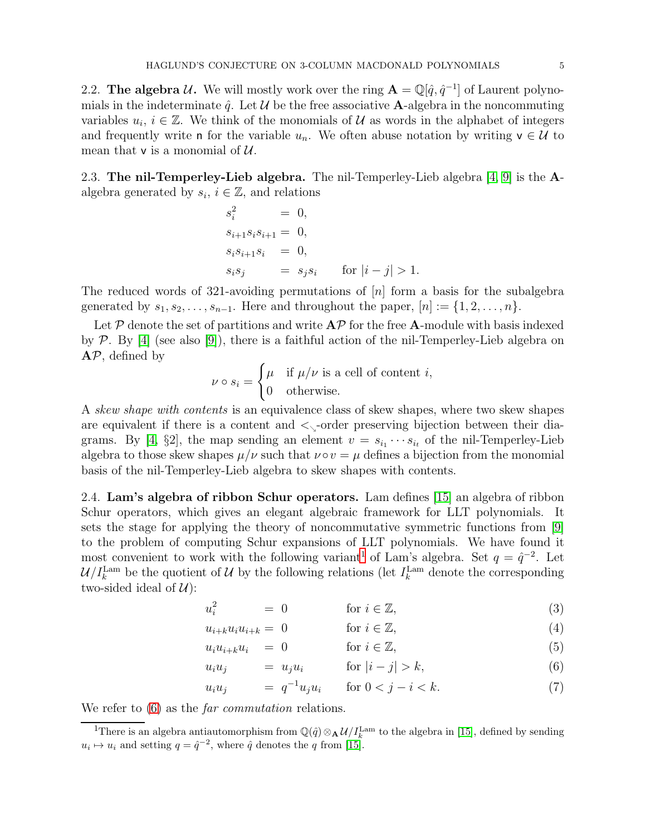2.2. The algebra U. We will mostly work over the ring  $\mathbf{A} = \mathbb{Q}[\hat{q}, \hat{q}^{-1}]$  of Laurent polynomials in the indeterminate  $\hat{q}$ . Let U be the free associative A-algebra in the noncommuting variables  $u_i, i \in \mathbb{Z}$ . We think of the monomials of U as words in the alphabet of integers and frequently write n for the variable  $u_n$ . We often abuse notation by writing  $v \in U$  to mean that  $v$  is a monomial of  $U$ .

<span id="page-4-3"></span>2.3. The nil-Temperley-Lieb algebra. The nil-Temperley-Lieb algebra [\[4,](#page-28-6) [9\]](#page-29-13) is the Aalgebra generated by  $s_i, i \in \mathbb{Z}$ , and relations

$$
s_i^2 = 0,
$$
  
\n
$$
s_{i+1}s_i s_{i+1} = 0,
$$
  
\n
$$
s_i s_{i+1} s_i = 0,
$$
  
\n
$$
s_i s_j = s_j s_i \quad \text{for } |i - j| > 1.
$$

The reduced words of 321-avoiding permutations of  $[n]$  form a basis for the subalgebra generated by  $s_1, s_2, \ldots, s_{n-1}$ . Here and throughout the paper,  $[n] := \{1, 2, \ldots, n\}$ .

Let  $P$  denote the set of partitions and write  $\mathbf{A}P$  for the free  $\mathbf{A}\text{-module with basis indexed}$ by P. By [\[4\]](#page-28-6) (see also [\[9\]](#page-29-13)), there is a faithful action of the nil-Temperley-Lieb algebra on  $\mathbf{A}\mathcal{P}$ , defined by

$$
\nu \circ s_i = \begin{cases} \mu & \text{if } \mu/\nu \text{ is a cell of content } i, \\ 0 & \text{otherwise.} \end{cases}
$$

A skew shape with contents is an equivalence class of skew shapes, where two skew shapes are equivalent if there is a content and  $\lt$ , order preserving bijection between their dia-grams. By [\[4,](#page-28-6) §2], the map sending an element  $v = s_{i_1} \cdots s_{i_t}$  of the nil-Temperley-Lieb algebra to those skew shapes  $\mu/\nu$  such that  $\nu \circ \nu = \mu$  defines a bijection from the monomial basis of the nil-Temperley-Lieb algebra to skew shapes with contents.

<span id="page-4-0"></span>2.4. Lam's algebra of ribbon Schur operators. Lam defines [\[15\]](#page-29-1) an algebra of ribbon Schur operators, which gives an elegant algebraic framework for LLT polynomials. It sets the stage for applying the theory of noncommutative symmetric functions from [\[9\]](#page-29-13) to the problem of computing Schur expansions of LLT polynomials. We have found it most convenient to work with the following variant<sup>[1](#page-4-1)</sup> of Lam's algebra. Set  $q = \hat{q}^{-2}$ . Let  $\mathcal{U}/I_k^{\text{Lam}}$  be the quotient of U by the following relations (let  $I_k^{\text{Lam}}$  denote the corresponding two-sided ideal of  $\mathcal{U}$ ):

$$
u_i^2 = 0 \qquad \text{for } i \in \mathbb{Z}, \tag{3}
$$

 $u_{i+k}u_iu_{i+k} = 0$  for  $i \in \mathbb{Z}$ , (4)

$$
u_i u_{i+k} u_i = 0 \qquad \text{for } i \in \mathbb{Z}, \tag{5}
$$

<span id="page-4-2"></span> $u_i u_j = u_j u_i$  for  $|i - j| > k$ , (6)

<span id="page-4-4"></span>
$$
u_i u_j = q^{-1} u_j u_i \quad \text{for } 0 < j - i < k. \tag{7}
$$

We refer to  $(6)$  as the *far commutation* relations.

<span id="page-4-1"></span><sup>&</sup>lt;sup>1</sup>There is an algebra antiautomorphism from  $\mathbb{Q}(\hat{q}) \otimes_A \mathcal{U}/I_k^{\text{Lam}}$  to the algebra in [\[15\]](#page-29-1), defined by sending  $u_i \mapsto u_i$  and setting  $q = \hat{q}^{-2}$ , where  $\hat{q}$  denotes the q from [\[15\]](#page-29-1).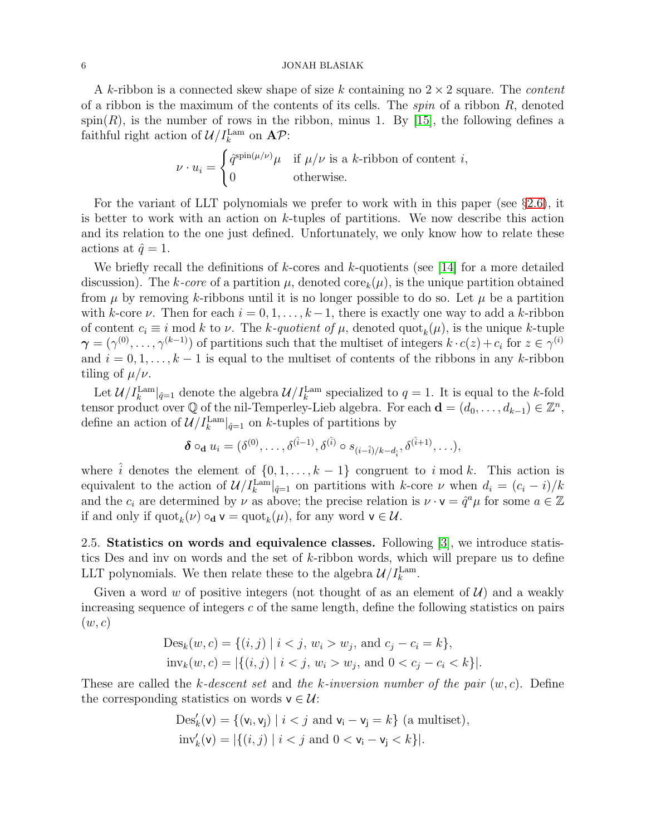A k-ribbon is a connected skew shape of size k containing no  $2 \times 2$  square. The *content* of a ribbon is the maximum of the contents of its cells. The spin of a ribbon  $R$ , denoted  $\text{spin}(R)$ , is the number of rows in the ribbon, minus 1. By [\[15\]](#page-29-1), the following defines a faithful right action of  $\mathcal{U}/I_k^{\text{Lam}}$  on  $\mathbf{A} \mathcal{P}$ :

$$
\nu \cdot u_i = \begin{cases} \hat{q}^{\text{spin}(\mu/\nu)} \mu & \text{if } \mu/\nu \text{ is a } k\text{-ribbon of content } i, \\ 0 & \text{otherwise.} \end{cases}
$$

For the variant of LLT polynomials we prefer to work with in this paper (see §[2.6\)](#page-8-0), it is better to work with an action on  $k$ -tuples of partitions. We now describe this action and its relation to the one just defined. Unfortunately, we only know how to relate these actions at  $\hat{q} = 1$ .

We briefly recall the definitions of k-cores and k-quotients (see [\[14\]](#page-29-4) for a more detailed discussion). The k-core of a partition  $\mu$ , denoted core<sub>k</sub> $(\mu)$ , is the unique partition obtained from  $\mu$  by removing k-ribbons until it is no longer possible to do so. Let  $\mu$  be a partition with k-core  $\nu$ . Then for each  $i = 0, 1, \ldots, k-1$ , there is exactly one way to add a k-ribbon of content  $c_i \equiv i \mod k$  to  $\nu$ . The k-quotient of  $\mu$ , denoted  $\text{quot}_k(\mu)$ , is the unique k-tuple  $\boldsymbol{\gamma} = (\gamma^{(0)}, \dots, \gamma^{(k-1)})$  of partitions such that the multiset of integers  $k \cdot c(z) + c_i$  for  $z \in \gamma^{(i)}$ and  $i = 0, 1, \ldots, k - 1$  is equal to the multiset of contents of the ribbons in any k-ribbon tiling of  $\mu/\nu$ .

Let  $\mathcal{U}/I_k^{\text{Lam}}|_{\hat{q}=1}$  denote the algebra  $\mathcal{U}/I_k^{\text{Lam}}$  specialized to  $q=1$ . It is equal to the k-fold tensor product over  $\mathbb Q$  of the nil-Temperley-Lieb algebra. For each  $\mathbf d = (d_0, \ldots, d_{k-1}) \in \mathbb Z^n$ , define an action of  $\mathcal{U}/I_k^{\text{Lam}}|_{\hat{q}=1}$  on k-tuples of partitions by

$$
\boldsymbol{\delta} \circ_{\mathbf{d}} u_i = (\delta^{(0)}, \ldots, \delta^{(\hat{i}-1)}, \delta^{(\hat{i})} \circ s_{(i-\hat{i})/k - d_{\hat{i}}}, \delta^{(\hat{i}+1)}, \ldots),
$$

where  $\hat{i}$  denotes the element of  $\{0, 1, \ldots, k-1\}$  congruent to  $i \mod k$ . This action is equivalent to the action of  $\mathcal{U}/I_k^{\text{Lam}}|_{\hat{q}=1}$  on partitions with k-core  $\nu$  when  $d_i = (c_i - i)/k$ and the  $c_i$  are determined by  $\nu$  as above; the precise relation is  $\nu \cdot \mathbf{v} = \hat{q}^a \mu$  for some  $a \in \mathbb{Z}$ if and only if  $\text{quot}_{k}(\nu) \circ_{\mathbf{d}} \mathbf{v} = \text{quot}_{k}(\mu)$ , for any word  $\mathbf{v} \in \mathcal{U}$ .

2.5. Statistics on words and equivalence classes. Following [\[3\]](#page-28-0), we introduce statistics Des and inv on words and the set of k-ribbon words, which will prepare us to define LLT polynomials. We then relate these to the algebra  $\mathcal{U}/I_k^{\text{Lam}}$ .

Given a word w of positive integers (not thought of as an element of  $\mathcal{U}$ ) and a weakly increasing sequence of integers  $c$  of the same length, define the following statistics on pairs  $(w, c)$ 

$$
Des_k(w, c) = \{(i, j) \mid i < j, w_i > w_j, \text{ and } c_j - c_i = k\},\newline inv_k(w, c) = |\{(i, j) \mid i < j, w_i > w_j, \text{ and } 0 < c_j - c_i < k\}|.
$$

These are called the k-descent set and the k-inversion number of the pair  $(w, c)$ . Define the corresponding statistics on words  $v \in \mathcal{U}$ :

$$
Des'_k(\mathbf{v}) = \{(\mathbf{v}_i, \mathbf{v}_j) \mid i < j \text{ and } \mathbf{v}_i - \mathbf{v}_j = k\} \text{ (a multiset)},
$$
\n
$$
inv'_k(\mathbf{v}) = |\{(i, j) \mid i < j \text{ and } 0 < \mathbf{v}_i - \mathbf{v}_j < k\}|.
$$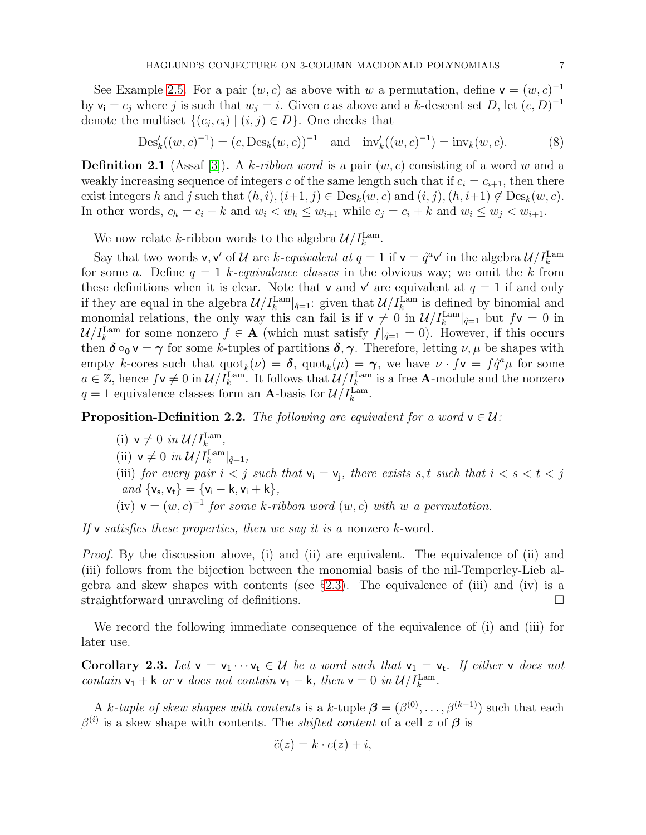<span id="page-6-1"></span>

See Example [2.5.](#page-7-0) For a pair  $(w, c)$  as above with w a permutation, define  $\mathbf{v} = (w, c)^{-1}$ by  $\mathsf{v}_i = c_j$  where j is such that  $w_j = i$ . Given c as above and a k-descent set D, let  $(c, D)^{-1}$ denote the multiset  $\{(c_j, c_i) | (i, j) \in D\}$ . One checks that

$$
Des'_k((w, c)^{-1}) = (c, Des_k(w, c))^{-1} \text{ and } inv'_k((w, c)^{-1}) = inv_k(w, c).
$$
 (8)

**Definition 2.1** (Assaf [\[3\]](#page-28-0)). A k-ribbon word is a pair  $(w, c)$  consisting of a word w and a weakly increasing sequence of integers c of the same length such that if  $c_i = c_{i+1}$ , then there exist integers h and j such that  $(h, i), (i+1, j) \in \text{Des}_k(w, c)$  and  $(i, j), (h, i+1) \notin \text{Des}_k(w, c)$ . In other words,  $c_h = c_i - k$  and  $w_i \leq w_h \leq w_{i+1}$  while  $c_j = c_i + k$  and  $w_i \leq w_j \leq w_{i+1}$ .

We now relate k-ribbon words to the algebra  $\mathcal{U}/I_k^{\text{Lam}}$ .

Say that two words  $v, v'$  of U are k-equivalent at  $q = 1$  if  $v = \hat{q}^a v'$  in the algebra  $\mathcal{U}/I_k^{\text{Lam}}$ for some a. Define  $q = 1$  k-equivalence classes in the obvious way; we omit the k from these definitions when it is clear. Note that **v** and **v'** are equivalent at  $q = 1$  if and only if they are equal in the algebra  $\mathcal{U}/I_k^{\text{Lam}}|_{\hat{q}=1}$ : given that  $\mathcal{U}/I_k^{\text{Lam}}$  is defined by binomial and monomial relations, the only way this can fail is if  $v \neq 0$  in  $\mathcal{U}/I_k^{\text{Lam}}|_{\hat{q}=1}$  but  $f v = 0$  in  $\mathcal{U}/I_k^{\text{Lam}}$  for some nonzero  $f \in \mathbf{A}$  (which must satisfy  $f|_{\hat{q}=1} = 0$ ). However, if this occurs then  $\delta \circ_0 v = \gamma$  for some k-tuples of partitions  $\delta, \gamma$ . Therefore, letting  $\nu, \mu$  be shapes with empty k-cores such that  $\text{quot}_k(\nu) = \delta$ ,  $\text{quot}_k(\mu) = \gamma$ , we have  $\nu \cdot f\mathbf{v} = f\hat{q}^a\mu$  for some  $a \in \mathbb{Z}$ , hence  $f \mathsf{v} \neq 0$  in  $\mathcal{U}/I_k^{\mathrm{Lam}}$ . It follows that  $\mathcal{U}/I_k^{\mathrm{Lam}}$  is a free **A**-module and the nonzero  $q = 1$  equivalence classes form an **A**-basis for  $\mathcal{U}/I_k^{\text{Lam}}$ .

<span id="page-6-0"></span>**Proposition-Definition 2.2.** The following are equivalent for a word  $v \in U$ :

- (i)  $v \neq 0$  in  $\mathcal{U}/I_k^{\text{Lam}}$ , (ii)  $\mathsf{v} \neq 0$  in  $\mathcal{U}/I_k^{\mathrm{Lam}}|_{\hat{q}=1}$ , (iii) for every pair  $i < j$  such that  $v_i = v_j$ , there exists s, t such that  $i < s < t < j$ and  $\{v_s, v_t\} = \{v_i - k, v_i + k\},\$
- (iv)  $\mathbf{v} = (w, c)^{-1}$  for some k-ribbon word  $(w, c)$  with w a permutation.

If v satisfies these properties, then we say it is a nonzero  $k$ -word.

*Proof.* By the discussion above, (i) and (ii) are equivalent. The equivalence of (ii) and (iii) follows from the bijection between the monomial basis of the nil-Temperley-Lieb algebra and skew shapes with contents (see  $\S 2.3$ ). The equivalence of (iii) and (iv) is a straightforward unraveling of definitions.

We record the following immediate consequence of the equivalence of (i) and (iii) for later use.

<span id="page-6-2"></span>**Corollary 2.3.** Let  $v = v_1 \cdots v_t \in \mathcal{U}$  be a word such that  $v_1 = v_t$ . If either v does not contain  $v_1 + k$  or v does not contain  $v_1 - k$ , then  $v = 0$  in  $\mathcal{U}/I_k^{\text{Lam}}$ .

A k-tuple of skew shapes with contents is a k-tuple  $\boldsymbol{\beta} = (\beta^{(0)}, \ldots, \beta^{(k-1)})$  such that each  $\beta^{(i)}$  is a skew shape with contents. The *shifted content* of a cell z of  $\beta$  is

$$
\tilde{c}(z) = k \cdot c(z) + i,
$$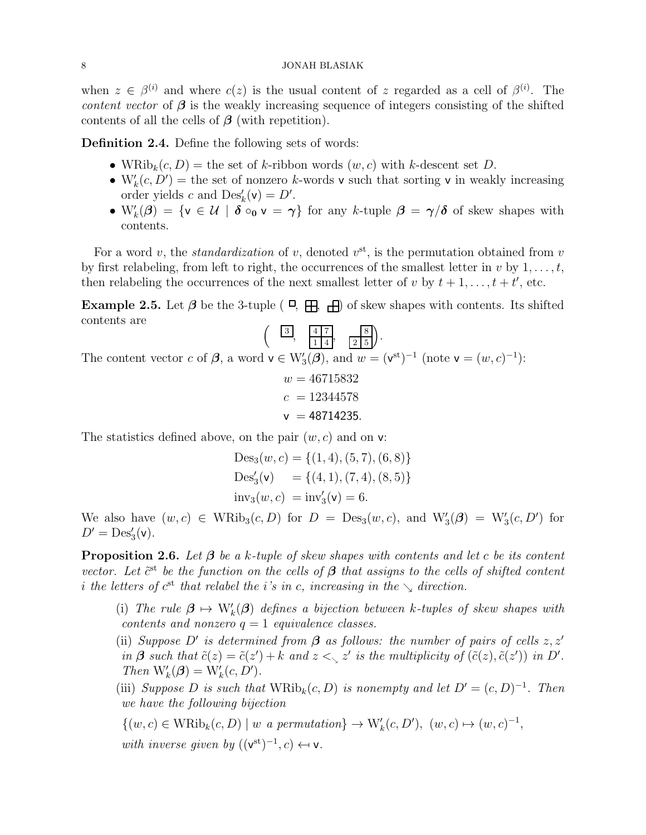when  $z \in \beta^{(i)}$  and where  $c(z)$  is the usual content of z regarded as a cell of  $\beta^{(i)}$ . The content vector of  $\beta$  is the weakly increasing sequence of integers consisting of the shifted contents of all the cells of  $\beta$  (with repetition).

<span id="page-7-2"></span>Definition 2.4. Define the following sets of words:

- WRib<sub>k</sub> $(c, D)$  = the set of k-ribbon words  $(w, c)$  with k-descent set D.
- $W'_{k}(c, D') =$  the set of nonzero k-words v such that sorting v in weakly increasing order yields c and  $\text{Des}'_k(\mathsf{v}) = D'.$
- $W'_{k}(\boldsymbol{\beta}) = \{v \in \mathcal{U} \mid \boldsymbol{\delta} \circ_{0} v = \boldsymbol{\gamma}\}\$  for any k-tuple  $\boldsymbol{\beta} = \boldsymbol{\gamma}/\boldsymbol{\delta}$  of skew shapes with contents.

For a word v, the *standardization* of v, denoted  $v^{st}$ , is the permutation obtained from v by first relabeling, from left to right, the occurrences of the smallest letter in v by  $1, \ldots, t$ , then relabeling the occurrences of the next smallest letter of v by  $t + 1, \ldots, t + t'$ , etc.

<span id="page-7-0"></span>**Example 2.5.** Let  $\beta$  be the 3-tuple ( $\Box$ ,  $\Box$ ) of skew shapes with contents. Its shifted contents are  $\left(\begin{array}{c|c} 3 & 47 \end{array}\right)$  $\big).$ 

 $\frac{4}{1}$ ,  $\frac{8}{1}$ 2 5 The content vector c of  $\beta$ , a word  $\mathsf{v} \in W'_3(\boldsymbol{\beta})$ , and  $w = (\mathsf{v}^{st})^{-1}$  (note  $\mathsf{v} = (w, c)^{-1}$ ):

$$
w = 46715832
$$

$$
c = 12344578
$$

$$
v = 48714235.
$$

The statistics defined above, on the pair  $(w, c)$  and on v:

$$
Des_3(w, c) = \{(1, 4), (5, 7), (6, 8)\}
$$
  

$$
Des'_3(v) = \{(4, 1), (7, 4), (8, 5)\}
$$
  

$$
inv_3(w, c) = inv'_3(v) = 6.
$$

We also have  $(w, c) \in \text{WRib}_3(c, D)$  for  $D = \text{Des}_3(w, c)$ , and  $\text{W}'_3(\beta) = \text{W}'_3(c, D')$  for  $D' = \mathrm{Des}'_3(v).$ 

<span id="page-7-1"></span>**Proposition 2.6.** Let  $\beta$  be a k-tuple of skew shapes with contents and let c be its content vector. Let  $\tilde{c}^{\text{st}}$  be the function on the cells of  $\beta$  that assigns to the cells of shifted content i the letters of  $c^{st}$  that relabel the i's in c, increasing in the  $\searrow$  direction.

- (i) The rule  $\beta \mapsto W'_{k}(\beta)$  defines a bijection between k-tuples of skew shapes with contents and nonzero  $q = 1$  equivalence classes.
- (ii) Suppose D' is determined from  $\beta$  as follows: the number of pairs of cells  $z, z'$ in  $\beta$  such that  $\tilde{c}(z) = \tilde{c}(z') + k$  and  $z <_{\sim} z'$  is the multiplicity of  $(\tilde{c}(z), \tilde{c}(z'))$  in  $D'$ . Then  $W'_{k}(\boldsymbol{\beta}) = W'_{k}(c, D').$
- (iii) Suppose D is such that  $WRib_k(c, D)$  is nonempty and let  $D' = (c, D)^{-1}$ . Then we have the following bijection

 $\{(w, c) \in \text{WRib}_k(c, D) \mid w \text{ a permutation}\}\rightarrow W'_k(c, D'), (w, c) \mapsto (w, c)^{-1},$ with inverse given by  $((v^{st})^{-1}, c) \leftarrow v$ .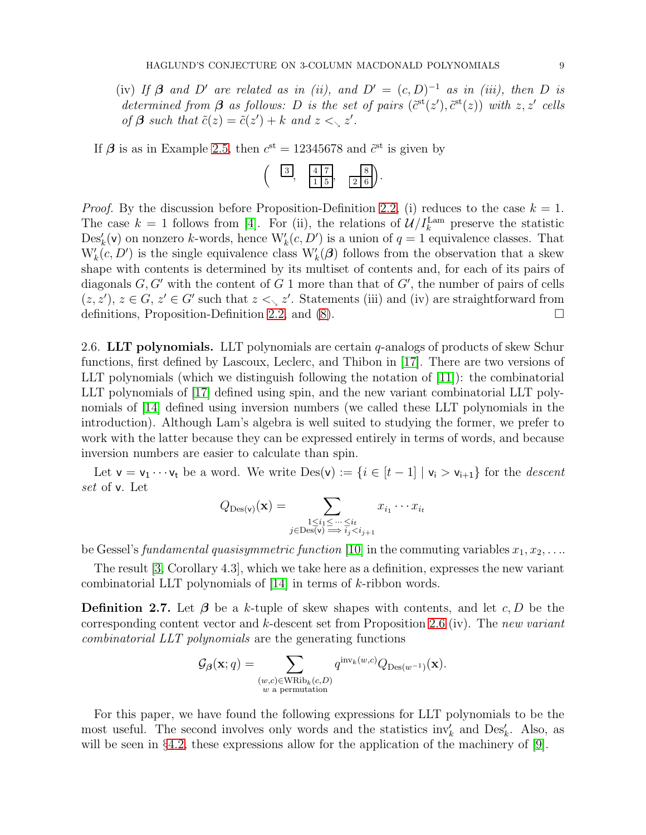(iv) If  $\beta$  and  $D'$  are related as in (ii), and  $D' = (c, D)^{-1}$  as in (iii), then D is determined from  $\beta$  as follows: D is the set of pairs  $(\tilde{c}^{st}(z'), \tilde{c}^{st}(z))$  with  $z, z'$  cells of  $\beta$  such that  $\tilde{c}(z) = \tilde{c}(z') + k$  and  $z < \zeta z'$ .

If  $\beta$  is as in Example [2.5,](#page-7-0) then  $c^{st} = 12345678$  and  $\tilde{c}^{st}$  is given by

$$
\left(\begin{array}{cc} \boxed{3}, & \boxed{4,7}, & \boxed{8} \\ \boxed{1,5}, & \boxed{2,6} \end{array}\right).
$$

*Proof.* By the discussion before Proposition-Definition [2.2,](#page-6-0) (i) reduces to the case  $k = 1$ . The case  $k = 1$  follows from [\[4\]](#page-28-6). For (ii), the relations of  $\mathcal{U}/I_k^{\text{Lam}}$  preserve the statistic  $\text{Des}'_k(\mathsf{v})$  on nonzero k-words, hence  $\mathcal{W}'_k(c, D')$  is a union of  $q = 1$  equivalence classes. That  $W'_{k}(c, D')$  is the single equivalence class  $W'_{k}(A)$  follows from the observation that a skew shape with contents is determined by its multiset of contents and, for each of its pairs of diagonals  $G, G'$  with the content of G 1 more than that of  $G'$ , the number of pairs of cells  $(z, z')$ ,  $z \in G$ ,  $z' \in G'$  such that  $z \leq z'$ . Statements (iii) and (iv) are straightforward from definitions, Proposition-Definition [2.2,](#page-6-0) and  $(8)$ .

<span id="page-8-0"></span>2.6. LLT polynomials. LLT polynomials are certain q-analogs of products of skew Schur functions, first defined by Lascoux, Leclerc, and Thibon in [\[17\]](#page-29-3). There are two versions of LLT polynomials (which we distinguish following the notation of [\[11\]](#page-29-6)): the combinatorial LLT polynomials of [\[17\]](#page-29-3) defined using spin, and the new variant combinatorial LLT polynomials of [\[14\]](#page-29-4) defined using inversion numbers (we called these LLT polynomials in the introduction). Although Lam's algebra is well suited to studying the former, we prefer to work with the latter because they can be expressed entirely in terms of words, and because inversion numbers are easier to calculate than spin.

Let  $\mathsf{v} = \mathsf{v}_1 \cdots \mathsf{v}_t$  be a word. We write  $\mathrm{Des}(\mathsf{v}) := \{i \in [t-1] \mid \mathsf{v}_i > \mathsf{v}_{i+1}\}$  for the *descent* set of v. Let

$$
Q_{\mathrm{Des}(\mathbf{v})}(\mathbf{x}) = \sum_{\substack{1 \leq i_1 \leq \cdots \leq i_t \\ j \in \mathrm{Des}(\mathbf{v}) \implies i_j < i_{j+1}}} x_{i_1} \cdots x_{i_t}
$$

be Gessel's fundamental quasisymmetric function [\[10\]](#page-29-14) in the commuting variables  $x_1, x_2, \ldots$ 

The result [\[3,](#page-28-0) Corollary 4.3], which we take here as a definition, expresses the new variant combinatorial LLT polynomials of [\[14\]](#page-29-4) in terms of k-ribbon words.

<span id="page-8-1"></span>**Definition 2.7.** Let  $\beta$  be a k-tuple of skew shapes with contents, and let c, D be the corresponding content vector and k-descent set from Proposition [2.6](#page-7-1) (iv). The new variant combinatorial LLT polynomials are the generating functions

$$
\mathcal{G}_{\beta}(\mathbf{x};q) = \sum_{\substack{(w,c)\in \text{WRib}_k(c,D)\\w \text{ a permutation}}} q^{\text{inv}_k(w,c)} Q_{\text{Des}(w^{-1})}(\mathbf{x}).
$$

For this paper, we have found the following expressions for LLT polynomials to be the most useful. The second involves only words and the statistics  $inv'_{k}$  and  $Des'_{k}$ . Also, as will be seen in §[4.2,](#page-16-0) these expressions allow for the application of the machinery of  $[9]$ .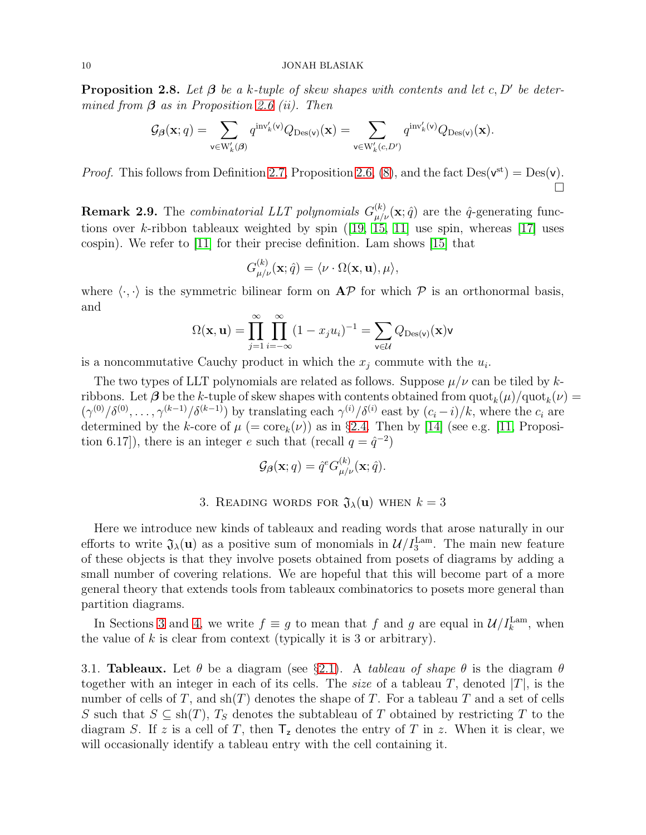<span id="page-9-2"></span>**Proposition 2.8.** Let  $\beta$  be a k-tuple of skew shapes with contents and let c, D' be determined from  $\beta$  as in Proposition [2.6](#page-7-1) (ii). Then

$$
\mathcal{G}_{\beta}(\mathbf{x};q) = \sum_{\mathbf{v} \in W'_{k}(\beta)} q^{\mathrm{inv}'_{k}(\mathbf{v})} Q_{\mathrm{Des}(\mathbf{v})}(\mathbf{x}) = \sum_{\mathbf{v} \in W'_{k}(c,D')} q^{\mathrm{inv}'_{k}(\mathbf{v})} Q_{\mathrm{Des}(\mathbf{v})}(\mathbf{x}).
$$

*Proof.* This follows from Definition [2.7,](#page-8-1) Proposition [2.6,](#page-7-1) [\(8\)](#page-6-1), and the fact  $Des(v^{st}) = Des(v)$ .  $\Box$ 

<span id="page-9-0"></span>**Remark 2.9.** The *combinatorial LLT polynomials*  $G_{\mu/\nu}^{(k)}(\mathbf{x}; \hat{q})$  are the  $\hat{q}$ -generating functions over k-ribbon tableaux weighted by spin  $(19, 15, 11]$  $(19, 15, 11]$  $(19, 15, 11]$  use spin, whereas [\[17\]](#page-29-3) uses cospin). We refer to [\[11\]](#page-29-6) for their precise definition. Lam shows [\[15\]](#page-29-1) that

$$
G_{\mu/\nu}^{(k)}(\mathbf{x};\hat{q}) = \langle \nu \cdot \Omega(\mathbf{x}, \mathbf{u}), \mu \rangle,
$$

where  $\langle \cdot, \cdot \rangle$  is the symmetric bilinear form on  $\mathbf{A} \mathcal{P}$  for which  $\mathcal{P}$  is an orthonormal basis, and

$$
\Omega(\mathbf{x}, \mathbf{u}) = \prod_{j=1}^{\infty} \prod_{i=-\infty}^{\infty} (1 - x_j u_i)^{-1} = \sum_{\mathbf{v} \in \mathcal{U}} Q_{\mathrm{Des}(\mathbf{v})}(\mathbf{x}) \mathbf{v}
$$

is a noncommutative Cauchy product in which the  $x_j$  commute with the  $u_i$ .

The two types of LLT polynomials are related as follows. Suppose  $\mu/\nu$  can be tiled by kribbons. Let  $\beta$  be the k-tuple of skew shapes with contents obtained from  $\text{quot}_k(\mu)/\text{quot}_k(\nu) =$  $(\gamma^{(0)}/\delta^{(0)},\ldots,\gamma^{(k-1)}/\delta^{(k-1)})$  by translating each  $\gamma^{(i)}/\delta^{(i)}$  east by  $(c_i-i)/k$ , where the  $c_i$  are determined by the k-core of  $\mu$  (= core<sub>k</sub>( $\nu$ )) as in §[2.4.](#page-4-0) Then by [\[14\]](#page-29-4) (see e.g. [\[11,](#page-29-6) Proposition 6.17]), there is an integer e such that (recall  $q = \hat{q}^{-2}$ )

$$
\mathcal{G}_{\beta}(\mathbf{x};q) = \hat{q}^e G_{\mu/\nu}^{(k)}(\mathbf{x};\hat{q}).
$$

## 3. READING WORDS FOR  $\mathfrak{J}_{\lambda}(\mathbf{u})$  when  $k=3$

<span id="page-9-1"></span>Here we introduce new kinds of tableaux and reading words that arose naturally in our efforts to write  $\mathfrak{J}_{\lambda}(\mathbf{u})$  as a positive sum of monomials in  $\mathcal{U}/I_3^{\mathrm{Lam}}$ . The main new feature of these objects is that they involve posets obtained from posets of diagrams by adding a small number of covering relations. We are hopeful that this will become part of a more general theory that extends tools from tableaux combinatorics to posets more general than partition diagrams.

In Sections [3](#page-9-1) and [4,](#page-14-1) we write  $f \equiv g$  to mean that f and g are equal in  $\mathcal{U}/I_k^{\text{Lam}}$ , when the value of k is clear from context (typically it is 3 or arbitrary).

3.1. **Tableaux.** Let  $\theta$  be a diagram (see §[2.1\)](#page-3-1). A *tableau of shape*  $\theta$  is the diagram  $\theta$ together with an integer in each of its cells. The *size* of a tableau T, denoted  $|T|$ , is the number of cells of T, and  $\text{sh}(T)$  denotes the shape of T. For a tableau T and a set of cells S such that  $S \subseteq \text{sh}(T)$ ,  $T_S$  denotes the subtableau of T obtained by restricting T to the diagram S. If z is a cell of T, then  $T<sub>z</sub>$  denotes the entry of T in z. When it is clear, we will occasionally identify a tableau entry with the cell containing it.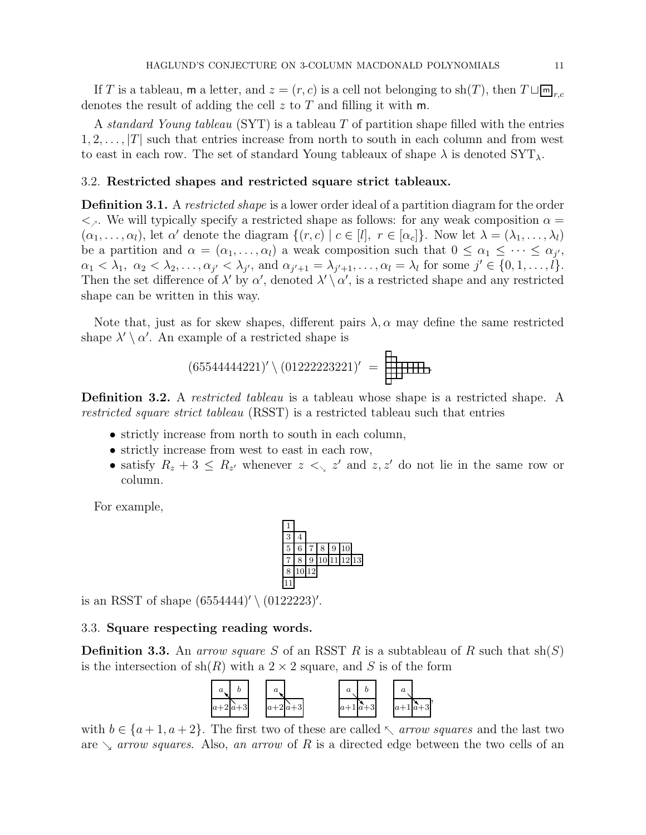If T is a tableau, m a letter, and  $z = (r, c)$  is a cell not belonging to sh(T), then  $T \sqcup \blacksquare_{r,c}$ denotes the result of adding the cell z to T and filling it with  $m$ .

A standard Young tableau (SYT) is a tableau T of partition shape filled with the entries  $1, 2, \ldots, |T|$  such that entries increase from north to south in each column and from west to east in each row. The set of standard Young tableaux of shape  $\lambda$  is denoted  $SYT_{\lambda}$ .

## 3.2. Restricted shapes and restricted square strict tableaux.

**Definition 3.1.** A restricted shape is a lower order ideal of a partition diagram for the order  $\lt_{\lambda}$ . We will typically specify a restricted shape as follows: for any weak composition  $\alpha =$  $(\alpha_1, \ldots, \alpha_l)$ , let  $\alpha'$  denote the diagram  $\{(r, c) \mid c \in [l], r \in [\alpha_c]\}$ . Now let  $\lambda = (\lambda_1, \ldots, \lambda_l)$ be a partition and  $\alpha = (\alpha_1, \ldots, \alpha_l)$  a weak composition such that  $0 \leq \alpha_1 \leq \cdots \leq \alpha_{j'}$ ,  $\alpha_1 < \lambda_1, \ \alpha_2 < \lambda_2, \ldots, \alpha_{j'} < \lambda_{j'}$ , and  $\alpha_{j'+1} = \lambda_{j'+1}, \ldots, \alpha_l = \lambda_l$  for some  $j' \in \{0, 1, \ldots, l\}$ . Then the set difference of  $\lambda'$  by  $\alpha'$ , denoted  $\lambda' \setminus \alpha'$ , is a restricted shape and any restricted shape can be written in this way.

Note that, just as for skew shapes, different pairs  $\lambda, \alpha$  may define the same restricted shape  $\lambda' \setminus \alpha'$ . An example of a restricted shape is

$$
(65544444221)' \setminus (01222223221)' = \begin{array}{|c|c|c|c|c|c|c|} \hline \text{1} & \text{1} & \text{1} & \text{1} & \text{1} & \text{1} \\ \hline \text{2} & \text{3} & \text{4} & \text{5} & \text{6} & \text{7} & \text{8} \\ \hline \text{3} & \text{4} & \text{5} & \text{6} & \text{7} & \text{8} & \text{8} \\ \hline \text{4} & \text{5} & \text{6} & \text{7} & \text{8} & \text{8} & \text{8} \\ \hline \text{5} & \text{6} & \text{7} & \text{8} & \text{8} & \text{8} & \text{8} \\ \hline \text{6} & \text{7} & \text{8} & \text{8} & \text{8} & \text{8} & \text{8} & \text{8} \\ \hline \text{7} & \text{8} & \text{8} & \text{8} & \text{8} & \text{8} & \text{8} & \text{8} \\ \hline \text{8} & \text{9} & \text{8} & \text{8} & \text{8} & \text{8} & \text{8} & \text{8} & \text{8} \\ \hline \text{9} & \text{9} & \text{9} & \text{8} & \text{8} & \text{8} & \text{8} & \text{8} & \text{8} \\ \hline \text{10} & \text{11} & \text{12} & \text{8} & \text{8} & \text{8} & \text{8} & \text{8} & \text{8} & \text{8} \\ \hline \text{11} & \text{13} & \text{8} & \text{8} & \text{8} & \text{8} & \text{8} & \text{8} & \text{8} & \text{8} & \text{8} \\ \hline \text{12} & \text{13} & \text{8} & \text{8} & \text{8} & \text{8} & \text{8} & \text{8} & \text{8} & \text{8} & \text{8} \\ \hline \text{13} & \text{14} & \text{8} & \text{8} & \text{8} & \text{8} & \text{8} & \text{8} & \text{8} & \text{8} & \
$$

<span id="page-10-1"></span>**Definition 3.2.** A restricted tableau is a tableau whose shape is a restricted shape. A restricted square strict tableau (RSST) is a restricted tableau such that entries

- strictly increase from north to south in each column,
- strictly increase from west to east in each row,
- satisfy  $R_z + 3 \le R_{z'}$  whenever  $z \le \zeta z'$  and  $z, z'$  do not lie in the same row or column.

For example,



<span id="page-10-0"></span>is an RSST of shape  $(6554444)' \setminus (0122223)'$ .

## 3.3. Square respecting reading words.

**Definition 3.3.** An *arrow square S* of an RSST R is a subtableau of R such that  $\text{sh}(S)$ is the intersection of  $\text{sh}(R)$  with a 2 × 2 square, and S is of the form



with  $b \in \{a+1, a+2\}$ . The first two of these are called  $\setminus$  arrow squares and the last two are  $\searrow$  arrow squares. Also, an arrow of R is a directed edge between the two cells of an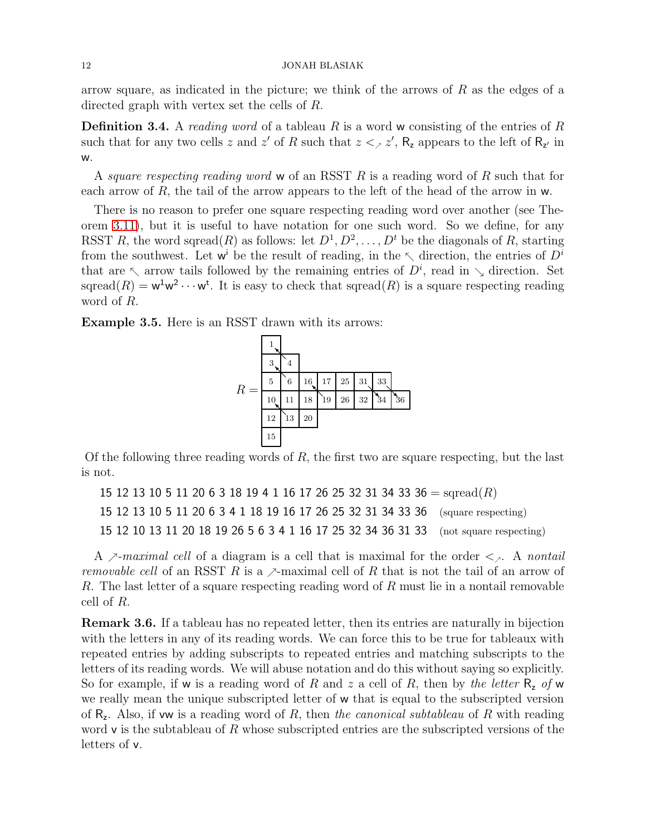arrow square, as indicated in the picture; we think of the arrows of  $R$  as the edges of a directed graph with vertex set the cells of R.

<span id="page-11-1"></span>**Definition 3.4.** A *reading word* of a tableau R is a word w consisting of the entries of R such that for any two cells z and z' of R such that  $z \leq z$ ,  $z'$ ,  $R_z$  appears to the left of  $R_{z'}$  in w.

A square respecting reading word w of an RSST  $R$  is a reading word of  $R$  such that for each arrow of  $R$ , the tail of the arrow appears to the left of the head of the arrow in w.

There is no reason to prefer one square respecting reading word over another (see Theorem [3.11\)](#page-13-0), but it is useful to have notation for one such word. So we define, for any RSST R, the word sqread(R) as follows: let  $D^1, D^2, \ldots, D^t$  be the diagonals of R, starting from the southwest. Let  $w^i$  be the result of reading, in the  $\nwarrow$  direction, the entries of  $D^i$ that are  $\nwarrow$  arrow tails followed by the remaining entries of  $D^i$ , read in  $\searrow$  direction. Set sqread(R) =  $w^1w^2 \cdots w^t$ . It is easy to check that sqread(R) is a square respecting reading word of R.

<span id="page-11-0"></span>Example 3.5. Here is an RSST drawn with its arrows:



Of the following three reading words of R, the first two are square respecting, but the last is not.

15 12 13 10 5 11 20 6 3 18 19 4 1 16 17 26 25 32 31 34 33 36 = sqread(R) 15 12 13 10 5 11 20 6 3 4 1 18 19 16 17 26 25 32 31 34 33 36 (square respecting) 15 12 10 13 11 20 18 19 26 5 6 3 4 1 16 17 25 32 34 36 31 33 (not square respecting)

A  $\geq$ -maximal cell of a diagram is a cell that is maximal for the order  $\lt_{\geq}$ . A nontail removable cell of an RSST R is a  $\gamma$ -maximal cell of R that is not the tail of an arrow of R. The last letter of a square respecting reading word of R must lie in a nontail removable cell of R.

Remark 3.6. If a tableau has no repeated letter, then its entries are naturally in bijection with the letters in any of its reading words. We can force this to be true for tableaux with repeated entries by adding subscripts to repeated entries and matching subscripts to the letters of its reading words. We will abuse notation and do this without saying so explicitly. So for example, if w is a reading word of R and z a cell of R, then by the letter  $R_z$  of w we really mean the unique subscripted letter of w that is equal to the subscripted version of  $R_z$ . Also, if vw is a reading word of R, then the canonical subtableau of R with reading word  $v$  is the subtableau of R whose subscripted entries are the subscripted versions of the letters of v.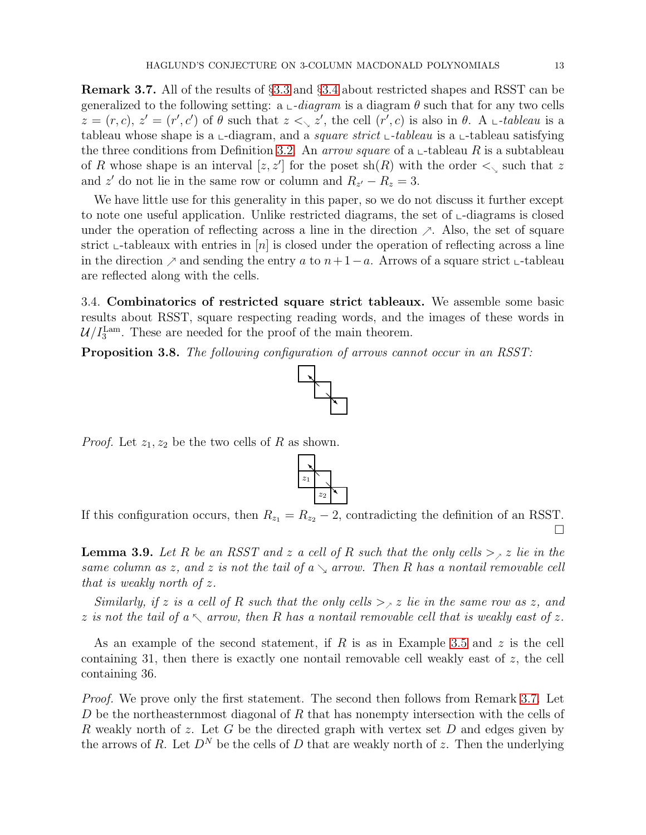<span id="page-12-1"></span>Remark 3.7. All of the results of §[3.3](#page-10-0) and §[3.4](#page-12-0) about restricted shapes and RSST can be generalized to the following setting:  $a \perp$ -diagram is a diagram  $\theta$  such that for any two cells  $z = (r, c), z' = (r', c')$  of  $\theta$  such that  $z \leq z'$ , the cell  $(r', c)$  is also in  $\theta$ . A  $\Box$ -tableau is a tableau whose shape is a  $\text{-}$ -diagram, and a square strict  $\text{-}$ -tableau is a  $\text{-}$ -tableau satisfying the three conditions from Definition [3.2.](#page-10-1) An *arrow square* of a  $\text{L}-$ tableau R is a subtableau of R whose shape is an interval  $[z, z']$  for the poset  $sh(R)$  with the order  $\lt_{\searrow}$  such that z and z' do not lie in the same row or column and  $R_{z'} - R_z = 3$ .

We have little use for this generality in this paper, so we do not discuss it further except to note one useful application. Unlike restricted diagrams, the set of  $\text{\_}$ -diagrams is closed under the operation of reflecting across a line in the direction  $\lambda$ . Also, the set of square strict  $\text{\textbackslash}-$ tableaux with entries in  $[n]$  is closed under the operation of reflecting across a line in the direction  $\nearrow$  and sending the entry a to  $n + 1 - a$ . Arrows of a square strict  $\text{L}-$ tableau are reflected along with the cells.

<span id="page-12-0"></span>3.4. Combinatorics of restricted square strict tableaux. We assemble some basic results about RSST, square respecting reading words, and the images of these words in  $\mathcal{U}/I_3^{\text{Lam}}$ . These are needed for the proof of the main theorem.

<span id="page-12-3"></span>**Proposition 3.8.** The following configuration of arrows cannot occur in an RSST:

❅■❅

❅❅❘

*Proof.* Let  $z_1, z_2$  be the two cells of R as shown.



<span id="page-12-2"></span>**Lemma 3.9.** Let R be an RSST and z a cell of R such that the only cells  $\gt$  z lie in the same column as z, and z is not the tail of  $a \searrow a$  arrow. Then R has a nontail removable cell that is weakly north of z.

Similarly, if z is a cell of R such that the only cells  $\gt$ <sub>z</sub> z lie in the same row as z, and z is not the tail of  $a \setminus a$  arrow, then R has a nontail removable cell that is weakly east of z.

As an example of the second statement, if R is as in Example [3.5](#page-11-0) and  $z$  is the cell containing 31, then there is exactly one nontail removable cell weakly east of  $z$ , the cell containing 36.

*Proof.* We prove only the first statement. The second then follows from Remark [3.7.](#page-12-1) Let D be the northeasternmost diagonal of R that has nonempty intersection with the cells of R weakly north of z. Let G be the directed graph with vertex set  $D$  and edges given by the arrows of R. Let  $D^N$  be the cells of D that are weakly north of z. Then the underlying

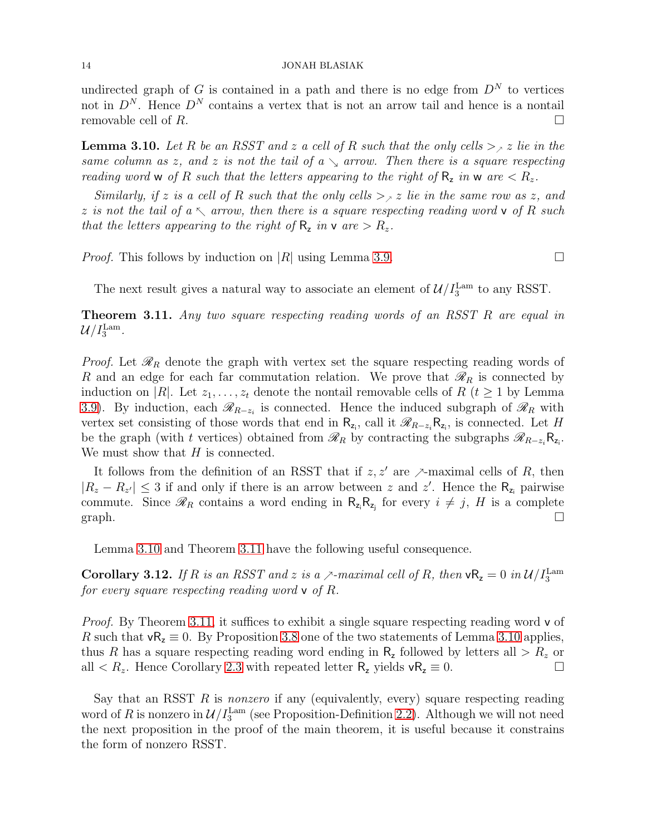undirected graph of G is contained in a path and there is no edge from  $D<sup>N</sup>$  to vertices not in  $D^N$ . Hence  $D^N$  contains a vertex that is not an arrow tail and hence is a nontail removable cell of  $R$ .

<span id="page-13-1"></span>**Lemma 3.10.** Let R be an RSST and z a cell of R such that the only cells  $\geq_{\gamma}$  z lie in the same column as z, and z is not the tail of  $a \searrow a$  arrow. Then there is a square respecting reading word w of R such that the letters appearing to the right of  $R_z$  in w are  $\langle R_z \rangle$ .

Similarly, if z is a cell of R such that the only cells  $\gt$ <sub>z</sub> z lie in the same row as z, and z is not the tail of a  $\sim$  arrow, then there is a square respecting reading word  $\vee$  of R such that the letters appearing to the right of  $R_z$  in  $v$  are  $>R_z$ .

*Proof.* This follows by induction on |R| using Lemma [3.9.](#page-12-2)

The next result gives a natural way to associate an element of  $\mathcal{U}/I_3^{\text{Lam}}$  to any RSST.

<span id="page-13-0"></span>**Theorem 3.11.** Any two square respecting reading words of an RSST R are equal in  $\mathcal{U}/I_3^{\mathrm{Lam}}.$ 

*Proof.* Let  $\mathcal{R}_R$  denote the graph with vertex set the square respecting reading words of R and an edge for each far commutation relation. We prove that  $\mathcal{R}_R$  is connected by induction on |R|. Let  $z_1, \ldots, z_t$  denote the nontail removable cells of R ( $t \geq 1$  by Lemma [3.9\)](#page-12-2). By induction, each  $\mathscr{R}_{R-z_i}$  is connected. Hence the induced subgraph of  $\mathscr{R}_R$  with vertex set consisting of those words that end in  $R_{z_i}$ , call it  $\mathscr{R}_{R-z_i}R_{z_i}$ , is connected. Let H be the graph (with t vertices) obtained from  $\mathcal{R}_R$  by contracting the subgraphs  $\mathcal{R}_{R-z_i}R_{z_i}$ . We must show that  $H$  is connected.

It follows from the definition of an RSST that if  $z, z'$  are  $\nearrow$ -maximal cells of R, then  $|R_z - R_{z'}| \leq 3$  if and only if there is an arrow between z and z'. Hence the  $R_{z_i}$  pairwise commute. Since  $\mathscr{R}_R$  contains a word ending in  $R_{z_i}R_{z_j}$  for every  $i \neq j$ , H is a complete graph.  $\square$ 

Lemma [3.10](#page-13-1) and Theorem [3.11](#page-13-0) have the following useful consequence.

<span id="page-13-2"></span>Corollary 3.12. If R is an RSST and z is a  $\sim$ -maximal cell of R, then  $\mathsf{vR}_z = 0$  in  $\mathcal{U}/I_3^{\text{Lam}}$ for every square respecting reading word v of R.

*Proof.* By Theorem [3.11,](#page-13-0) it suffices to exhibit a single square respecting reading word  $\bf{v}$  of R such that  $\mathsf{vR}_z \equiv 0$ . By Proposition [3.8](#page-12-3) one of the two statements of Lemma [3.10](#page-13-1) applies, thus R has a square respecting reading word ending in  $R_z$  followed by letters all  $>R_z$  or all  $\langle R_z.$  Hence Corollary [2.3](#page-6-2) with repeated letter  $R_z$  yields  $\mathsf{v}R_z \equiv 0$ .

Say that an RSST  $R$  is nonzero if any (equivalently, every) square respecting reading word of R is nonzero in  $\mathcal{U}/I_3^{\mathrm{Lam}}$  (see Proposition-Definition [2.2\)](#page-6-0). Although we will not need the next proposition in the proof of the main theorem, it is useful because it constrains the form of nonzero RSST.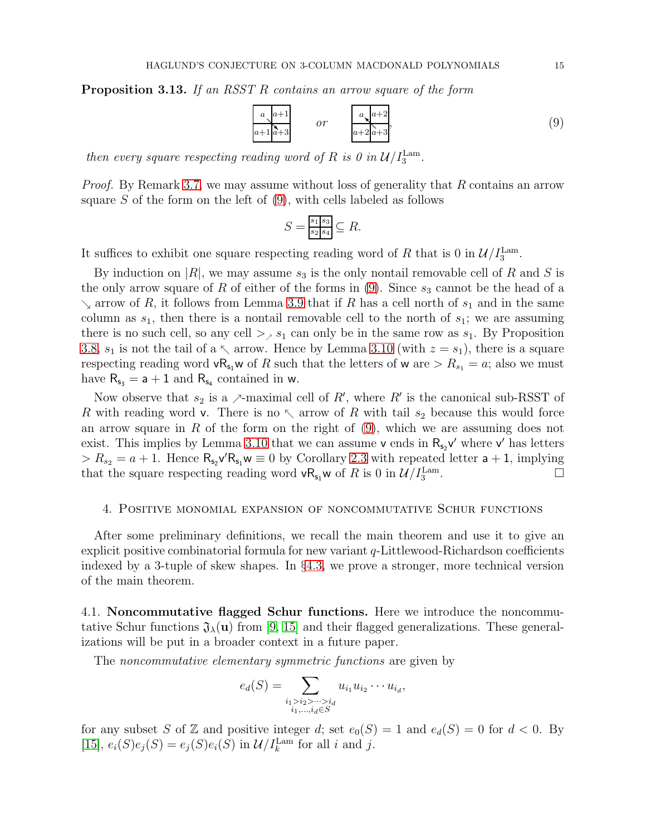<span id="page-14-3"></span>**Proposition 3.13.** If an RSST R contains an arrow square of the form

<span id="page-14-2"></span>
$$
\begin{array}{|c|c|}\n\hline\na & a+1 \\
\hline\na+1 & a+3\n\end{array}\n\quad \text{or} \quad\n\begin{array}{|c|c|}\n\hline\na & a+2 \\
\hline\na+2 & a+3\n\end{array}\n\tag{9}
$$

then every square respecting reading word of R is 0 in  $\mathcal{U}/I_3^{\text{Lam}}$ .

Proof. By Remark [3.7,](#page-12-1) we may assume without loss of generality that R contains an arrow square S of the form on the left of  $(9)$ , with cells labeled as follows

$$
S = \frac{s_1 s_3}{s_2 s_4} \subseteq R.
$$

It suffices to exhibit one square respecting reading word of R that is 0 in  $\mathcal{U}/I_3^{\text{Lam}}$ .

By induction on  $|R|$ , we may assume  $s_3$  is the only nontail removable cell of R and S is the only arrow square of R of either of the forms in  $(9)$ . Since  $s_3$  cannot be the head of a  $\searrow$  arrow of R, it follows from Lemma [3.9](#page-12-2) that if R has a cell north of  $s_1$  and in the same column as  $s_1$ , then there is a nontail removable cell to the north of  $s_1$ ; we are assuming there is no such cell, so any cell  $\geq_{\nearrow} s_1$  can only be in the same row as  $s_1$ . By Proposition [3.8,](#page-12-3)  $s_1$  is not the tail of a  $\sim$  arrow. Hence by Lemma [3.10](#page-13-1) (with  $z = s_1$ ), there is a square respecting reading word  $\mathsf{vR}_{\mathsf{s}_1}\mathsf{w}$  of R such that the letters of  $\mathsf{w}$  are  $>R_{s_1}=a$ ; also we must have  $R_{s_3} = a + 1$  and  $R_{s_4}$  contained in w.

Now observe that  $s_2$  is a  $\nearrow$ -maximal cell of  $R'$ , where  $R'$  is the canonical sub-RSST of R with reading word v. There is no  $\sim$  arrow of R with tail  $s_2$  because this would force an arrow square in  $R$  of the form on the right of  $(9)$ , which we are assuming does not exist. This implies by Lemma [3.10](#page-13-1) that we can assume  $v$  ends in  $R_{s_2}v'$  where  $v'$  has letters  $> R_{s_2} = a + 1$ . Hence  $R_{s_2} v' R_{s_1} w \equiv 0$  by Corollary [2.3](#page-6-2) with repeated letter  $a + 1$ , implying that the square respecting reading word  $\mathsf{vR}_{\mathsf{s}_1}\mathsf{w}$  of R is 0 in  $\mathcal{U}/I_3^{\mathrm{Lam}}$ . — Процессиональные просто производительные и продата в собстании в собстании и производительные и производит<br>В собстании производительные производительные производительные производительные производительные производитель

#### <span id="page-14-1"></span>4. Positive monomial expansion of noncommutative Schur functions

After some preliminary definitions, we recall the main theorem and use it to give an explicit positive combinatorial formula for new variant  $q$ -Littlewood-Richardson coefficients indexed by a 3-tuple of skew shapes. In §[4.3,](#page-18-0) we prove a stronger, more technical version of the main theorem.

<span id="page-14-0"></span>4.1. Noncommutative flagged Schur functions. Here we introduce the noncommutative Schur functions  $\mathfrak{J}_{\lambda}(\mathbf{u})$  from [\[9,](#page-29-13) [15\]](#page-29-1) and their flagged generalizations. These generalizations will be put in a broader context in a future paper.

The noncommutative elementary symmetric functions are given by

$$
e_d(S) = \sum_{\substack{i_1 > i_2 > \dots > i_d \\ i_1, \dots, i_d \in S}} u_{i_1} u_{i_2} \cdots u_{i_d},
$$

for any subset S of Z and positive integer d; set  $e_0(S) = 1$  and  $e_d(S) = 0$  for  $d < 0$ . By [\[15\]](#page-29-1),  $e_i(S)e_j(S) = e_j(S)e_i(S)$  in  $\mathcal{U}/I_k^{\text{Lam}}$  for all i and j.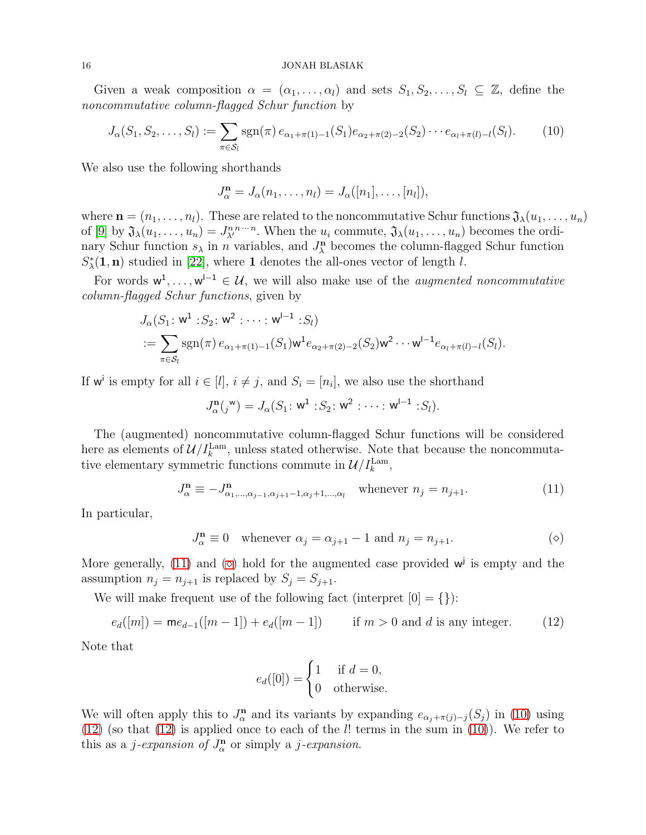Given a weak composition  $\alpha = (\alpha_1, \ldots, \alpha_l)$  and sets  $S_1, S_2, \ldots, S_l \subseteq \mathbb{Z}$ , define the noncommutative column-flagged Schur function by

$$
J_{\alpha}(S_1, S_2, \dots, S_l) := \sum_{\pi \in S_l} \text{sgn}(\pi) \, e_{\alpha_1 + \pi(1) - 1}(S_1) e_{\alpha_2 + \pi(2) - 2}(S_2) \cdots e_{\alpha_l + \pi(l) - l}(S_l). \tag{10}
$$

We also use the following shorthands

<span id="page-15-2"></span>
$$
J_{\alpha}^{\mathbf{n}}=J_{\alpha}(n_1,\ldots,n_l)=J_{\alpha}([n_1],\ldots,[n_l]),
$$

where  $\mathbf{n} = (n_1, \ldots, n_l)$ . These are related to the noncommutative Schur functions  $\mathfrak{J}_{\lambda}(u_1, \ldots, u_n)$ of [\[9\]](#page-29-13) by  $\mathfrak{J}_{\lambda}(u_1,\ldots,u_n) = J_{\lambda'}^{n} n \cdots n$ . When the  $u_i$  commute,  $\mathfrak{J}_{\lambda}(u_1,\ldots,u_n)$  becomes the ordinary Schur function  $s_{\lambda}$  in n variables, and  $J_{\lambda}^{n}$  becomes the column-flagged Schur function  $S_{\lambda}^*(1, n)$  studied in [\[22\]](#page-29-15), where 1 denotes the all-ones vector of length l.

For words  $w^1, \ldots, w^{l-1} \in \mathcal{U}$ , we will also make use of the *augmented noncommutative* column-flagged Schur functions, given by

$$
J_{\alpha}(S_1: \mathsf{w}^1 : S_2: \mathsf{w}^2 : \cdots : \mathsf{w}^{l-1} : S_l)
$$
  
 := 
$$
\sum_{\pi \in S_l} \operatorname{sgn}(\pi) e_{\alpha_1 + \pi(1) - 1}(S_1) \mathsf{w}^1 e_{\alpha_2 + \pi(2) - 2}(S_2) \mathsf{w}^2 \cdots \mathsf{w}^{l-1} e_{\alpha_l + \pi(l) - l}(S_l).
$$

If w<sup>i</sup> is empty for all  $i \in [l], i \neq j$ , and  $S_i = [n_i]$ , we also use the shorthand

$$
J_{\alpha}^{\mathbf{n}}(\mathbf{y}^{\mathbf{w}})=J_{\alpha}(S_1; \mathbf{w}^1 : S_2; \mathbf{w}^2 : \cdots : \mathbf{w}^{l-1} : S_l).
$$

The (augmented) noncommutative column-flagged Schur functions will be considered here as elements of  $\mathcal{U}/I_k^{\text{Lam}}$ , unless stated otherwise. Note that because the noncommutative elementary symmetric functions commute in  $\mathcal{U}/I_k^{\text{Lam}}$ ,

$$
J_{\alpha}^{\mathbf{n}} \equiv -J_{\alpha_1,\dots,\alpha_{j-1},\alpha_{j+1}-1,\alpha_j+1,\dots,\alpha_l}^{\mathbf{n}} \quad \text{whenever } n_j = n_{j+1}.\tag{11}
$$

In particular,

$$
J_{\alpha}^{\mathbf{n}} \equiv 0 \quad \text{whenever } \alpha_j = \alpha_{j+1} - 1 \text{ and } n_j = n_{j+1}.
$$

More generally, [\(11\)](#page-15-0) and ( $\diamond$ ) hold for the augmented case provided  $w^j$  is empty and the assumption  $n_i = n_{i+1}$  is replaced by  $S_i = S_{i+1}$ .

We will make frequent use of the following fact (interpret  $[0] = \{\}\$ :

$$
e_d([m]) = me_{d-1}([m-1]) + e_d([m-1])
$$
 if  $m > 0$  and d is any integer. (12)

Note that

<span id="page-15-3"></span><span id="page-15-1"></span><span id="page-15-0"></span>
$$
e_d([0]) = \begin{cases} 1 & \text{if } d = 0, \\ 0 & \text{otherwise.} \end{cases}
$$

We will often apply this to  $J_{\alpha}^{\mathbf{n}}$  and its variants by expanding  $e_{\alpha_j+\pi(j)-j}(S_j)$  in [\(10\)](#page-15-2) using  $(12)$  (so that  $(12)$  is applied once to each of the *l*! terms in the sum in  $(10)$ ). We refer to this as a *j*-expansion of  $J_{\alpha}^{n}$  $a^{\mathbf{a}}$  or simply a *j*-expansion.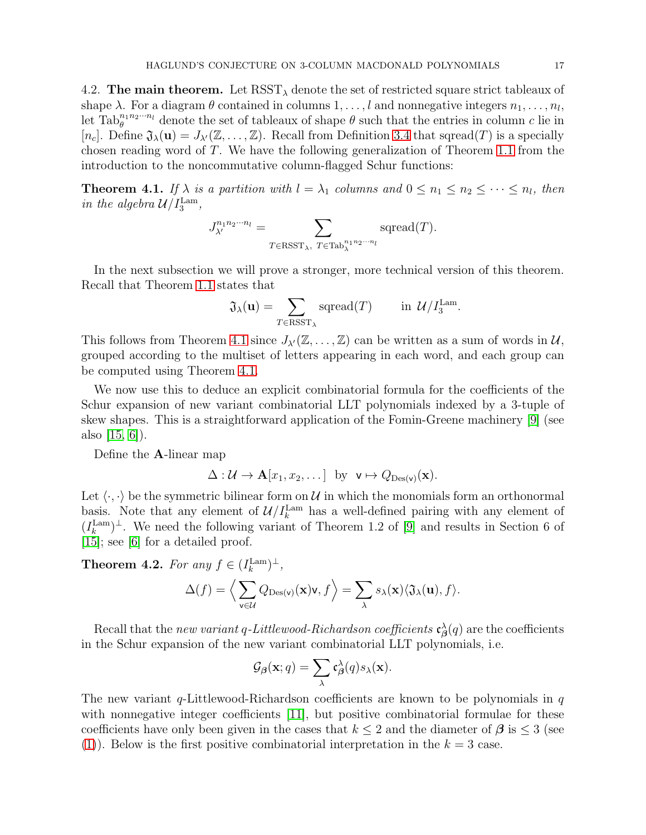<span id="page-16-0"></span>4.2. The main theorem. Let  $RSST_{\lambda}$  denote the set of restricted square strict tableaux of shape  $\lambda$ . For a diagram  $\theta$  contained in columns  $1, \ldots, l$  and nonnegative integers  $n_1, \ldots, n_l$ , let  $\text{Tab}_{\theta}^{n_1 n_2 \cdots n_l}$  denote the set of tableaux of shape  $\theta$  such that the entries in column c lie in  $[n_c]$ . Define  $\mathfrak{J}_{\lambda}(\mathbf{u}) = J_{\lambda'}(\mathbb{Z}, \ldots, \mathbb{Z})$ . Recall from Definition [3.4](#page-11-1) that sqread(T) is a specially chosen reading word of T. We have the following generalization of Theorem [1.1](#page-1-0) from the introduction to the noncommutative column-flagged Schur functions:

<span id="page-16-1"></span>**Theorem 4.1.** If  $\lambda$  is a partition with  $l = \lambda_1$  columns and  $0 \leq n_1 \leq n_2 \leq \cdots \leq n_l$ , then in the algebra  $\mathcal{U}/I_3^{\mathrm{Lam}}$ ,

$$
J_{\lambda'}^{n_1 n_2 \cdots n_l} = \sum_{T \in \text{RSST}_{\lambda}, \ T \in \text{Tab}_{\lambda}^{n_1 n_2 \cdots n_l}} \text{sqread}(T).
$$

In the next subsection we will prove a stronger, more technical version of this theorem. Recall that Theorem [1.1](#page-1-0) states that

$$
\mathfrak{J}_{\lambda}(\mathbf{u}) = \sum_{T \in \text{RSST}_{\lambda}} \text{spread}(T) \quad \text{in } \mathcal{U}/I_3^{\text{Lam}}.
$$

This follows from Theorem [4.1](#page-16-1) since  $J_{\lambda'}(\mathbb{Z},\ldots,\mathbb{Z})$  can be written as a sum of words in  $\mathcal{U},$ grouped according to the multiset of letters appearing in each word, and each group can be computed using Theorem [4.1.](#page-16-1)

We now use this to deduce an explicit combinatorial formula for the coefficients of the Schur expansion of new variant combinatorial LLT polynomials indexed by a 3-tuple of skew shapes. This is a straightforward application of the Fomin-Greene machinery [\[9\]](#page-29-13) (see also [\[15,](#page-29-1) [6\]](#page-28-4)).

Define the A-linear map

$$
\Delta: \mathcal{U} \to \mathbf{A}[x_1, x_2, \dots] \text{ by } \mathbf{v} \mapsto Q_{\mathrm{Des}(\mathbf{v})}(\mathbf{x}).
$$

Let  $\langle \cdot, \cdot \rangle$  be the symmetric bilinear form on U in which the monomials form an orthonormal basis. Note that any element of  $\mathcal{U}/I_k^{\text{Lam}}$  has a well-defined pairing with any element of  $(I_k^{\text{Lam}})^{\perp}$ . We need the following variant of Theorem 1.2 of [\[9\]](#page-29-13) and results in Section 6 of [\[15\]](#page-29-1); see [\[6\]](#page-28-4) for a detailed proof.

<span id="page-16-2"></span>**Theorem 4.2.** For any  $f \in (I_k^{\text{Lam}})^{\perp}$ ,

$$
\Delta(f) = \Big\langle \sum_{\mathbf{v} \in \mathcal{U}} Q_{\mathrm{Des}(\mathbf{v})}(\mathbf{x}) \mathbf{v}, f \Big\rangle = \sum_{\lambda} s_{\lambda}(\mathbf{x}) \langle \mathfrak{J}_{\lambda}(\mathbf{u}), f \rangle.
$$

Recall that the *new variant q-Littlewood-Richardson coefficients*  $\mathfrak{c}_{\boldsymbol{\beta}}^{\lambda}(q)$  are the coefficients in the Schur expansion of the new variant combinatorial LLT polynomials, i.e.

$$
\mathcal{G}_{\beta}(\mathbf{x};q) = \sum_{\lambda} \mathfrak{c}_{\beta}^{\lambda}(q) s_{\lambda}(\mathbf{x}).
$$

The new variant  $q$ -Littlewood-Richardson coefficients are known to be polynomials in  $q$ with nonnegative integer coefficients [\[11\]](#page-29-6), but positive combinatorial formulae for these coefficients have only been given in the cases that  $k \leq 2$  and the diameter of  $\beta$  is  $\leq 3$  (see [\(1\)](#page-1-1)). Below is the first positive combinatorial interpretation in the  $k = 3$  case.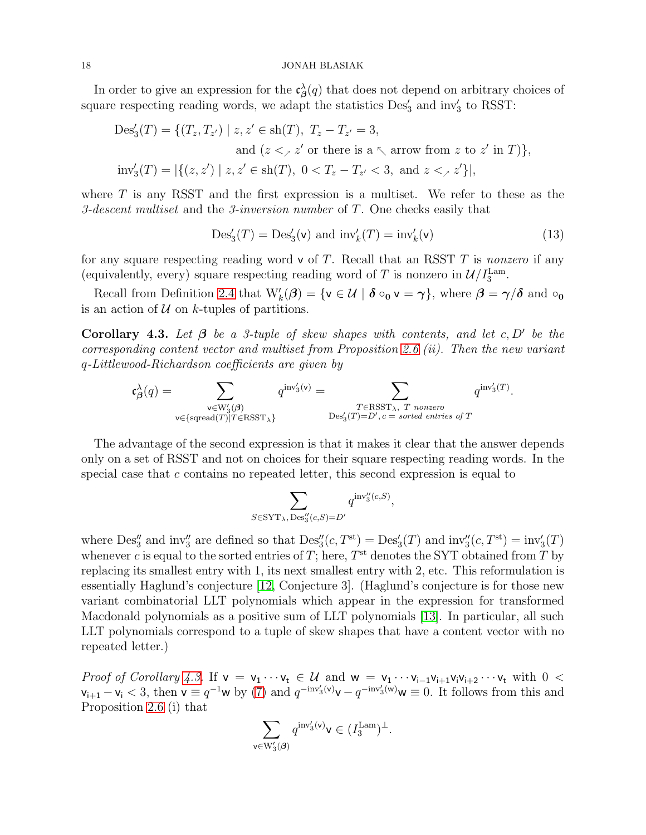In order to give an expression for the  $\mathfrak{c}_{\beta}^{\lambda}(q)$  that does not depend on arbitrary choices of square respecting reading words, we adapt the statistics  $Des'_3$  and  $inv'_3$  to RSST:

$$
Des'_3(T) = \{ (T_z, T_{z'}) \mid z, z' \in \text{sh}(T), T_z - T_{z'} = 3, \nand (z <_\nearrow z' \text{ or there is a } \nwarrow \text{ arrow from } z \text{ to } z' \text{ in } T) \},
$$
  
\n
$$
inv'_3(T) = |\{(z, z') \mid z, z' \in \text{sh}(T), 0 < T_z - T_{z'} < 3, \text{ and } z <_\nearrow z' \}|,
$$

where  $T$  is any RSST and the first expression is a multiset. We refer to these as the 3-descent multiset and the 3-inversion number of  $T$ . One checks easily that

$$
\mathrm{Des}'_3(T) = \mathrm{Des}'_3(v) \text{ and } \mathrm{inv}'_k(T) = \mathrm{inv}'_k(v) \tag{13}
$$

<span id="page-17-1"></span>,

for any square respecting reading word  $\bf{v}$  of T. Recall that an RSST T is nonzero if any (equivalently, every) square respecting reading word of T is nonzero in  $\mathcal{U}/I_3^{\text{Lam}}$ .

Recall from Definition [2.4](#page-7-2) that  $W'_{k}(\boldsymbol{\beta}) = \{ \mathsf{v} \in \mathcal{U} \mid \boldsymbol{\delta} \circ_{\mathsf{0}} \mathsf{v} = \boldsymbol{\gamma} \}$ , where  $\boldsymbol{\beta} = \boldsymbol{\gamma}/\boldsymbol{\delta}$  and  $\circ_{\mathsf{0}}$ is an action of  $U$  on k-tuples of partitions.

<span id="page-17-0"></span>Corollary 4.3. Let  $\beta$  be a 3-tuple of skew shapes with contents, and let c, D' be the corresponding content vector and multiset from Proposition [2.6](#page-7-1) (ii). Then the new variant q-Littlewood-Richardson coefficients are given by

$$
\mathfrak{c}_{\beta}^{\lambda}(q) = \sum_{\substack{\mathbf{v} \in \mathcal{W}'_3(\beta) \\ \mathbf{v} \in \{\text{spread}(T) | T \in \text{RSST}_{\lambda}\}}q^{\text{inv}'_3(\mathbf{v})} = \sum_{\substack{T \in \text{RSST}_{\lambda}, \ T \text{ nonzero} \\ \text{Des}'_3(T) = D', \ c = \text{sorted entries of } T}}q^{\text{inv}'_3(T)}.
$$

The advantage of the second expression is that it makes it clear that the answer depends only on a set of RSST and not on choices for their square respecting reading words. In the special case that  $c$  contains no repeated letter, this second expression is equal to

$$
\sum_{S \in \text{SYT}_\lambda, \text{Des''}_3(c,S) = D'} q^{\text{inv''}_3(c,S)}
$$

where  $\text{Des''}_3$  and  $\text{inv''}_3$  are defined so that  $\text{Des''}_3(c, T^{\text{st}}) = \text{Des'_3}(T)$  and  $\text{inv''}_3(c, T^{\text{st}}) = \text{inv'_3}(T)$ whenever c is equal to the sorted entries of T; here,  $T^{\text{st}}$  denotes the SYT obtained from T by replacing its smallest entry with 1, its next smallest entry with 2, etc. This reformulation is essentially Haglund's conjecture [\[12,](#page-29-0) Conjecture 3]. (Haglund's conjecture is for those new variant combinatorial LLT polynomials which appear in the expression for transformed Macdonald polynomials as a positive sum of LLT polynomials [\[13\]](#page-29-2). In particular, all such LLT polynomials correspond to a tuple of skew shapes that have a content vector with no repeated letter.)

Proof of Corollary [4.3.](#page-17-0) If  $v = v_1 \cdots v_t \in U$  and  $w = v_1 \cdots v_{i-1}v_{i+1}v_iv_{i+2} \cdots v_t$  with  $0 <$  $\nu_{i+1} - \nu_i < 3$ , then  $\nu \equiv q^{-1}\omega$  by [\(7\)](#page-4-4) and  $q^{-inv_3'(\nu)}\nu - q^{-inv_3'(\omega)}\nu \equiv 0$ . It follows from this and Proposition [2.6](#page-7-1) (i) that

$$
\sum_{\mathsf{v}\in W'_3(\boldsymbol{\beta})}q^{\mathrm{inv}'_3(\mathsf{v})}\mathsf{v}\in (I_3^{\mathrm{Lam}})^{\perp}.
$$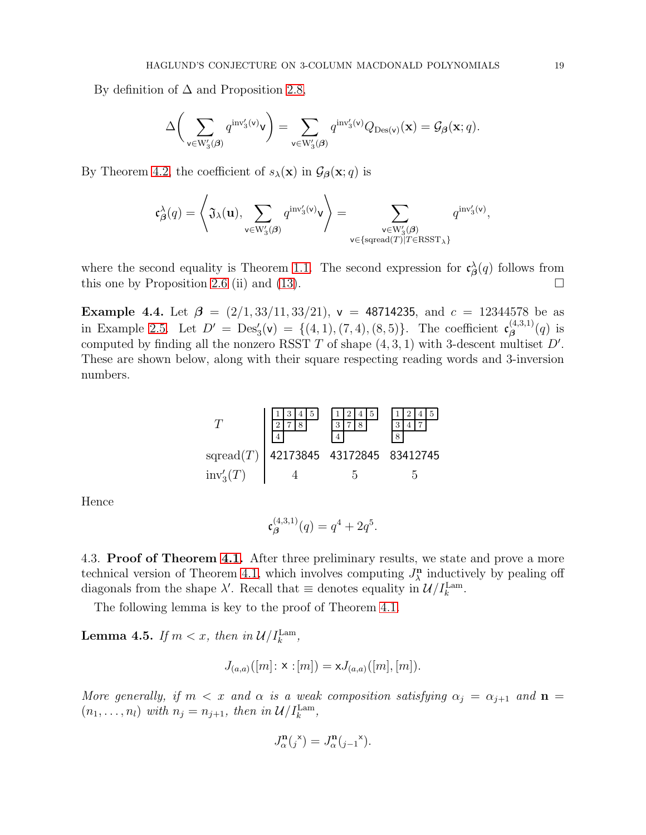By definition of  $\Delta$  and Proposition [2.8,](#page-9-2)

$$
\Delta\bigg(\sum_{\mathbf{v}\in W'_3(\boldsymbol{\beta})}q^{\mathrm{inv}'_3(\mathbf{v})}\mathbf{v}\bigg)=\sum_{\mathbf{v}\in W'_3(\boldsymbol{\beta})}q^{\mathrm{inv}'_3(\mathbf{v})}Q_{\mathrm{Des}(\mathbf{v})}(\mathbf{x})=\mathcal{G}_{\boldsymbol{\beta}}(\mathbf{x};q).
$$

By Theorem [4.2,](#page-16-2) the coefficient of  $s_{\lambda}(\mathbf{x})$  in  $\mathcal{G}_{\beta}(\mathbf{x}; q)$  is

$$
\mathfrak{c}_{\pmb\beta}^{\lambda}(q)=\left\langle\mathfrak{J}_{\lambda}(\mathbf{u}), \sum_{\mathbf{v}\in W'_3(\pmb\beta)}q^{\mathrm{inv}'_3(\mathbf{v})}\mathbf{v}\right\rangle=\sum_{\substack{\mathbf{v}\in W'_3(\pmb\beta)\\ \mathbf{v}\in\{\mathrm{sqread}(T)|T\in\mathrm{RSST}_{\lambda}\}}}q^{\mathrm{inv}'_3(\mathbf{v})},
$$

where the second equality is Theorem [1.1.](#page-1-0) The second expression for  $\mathfrak{c}_{\beta}^{\lambda}(q)$  follows from this one by Proposition [2.6](#page-7-1) (ii) and [\(13\)](#page-17-1).  $\Box$ 

Example 4.4. Let  $\beta = (2/1, 33/11, 33/21)$ , v = 48714235, and  $c = 12344578$  be as in Example [2.5.](#page-7-0) Let  $D' = \text{Des}'_3(v) = \{(4, 1), (7, 4), (8, 5)\}.$  The coefficient  $\mathfrak{c}_{\beta}^{(4,3,1)}$  $\beta^{(4,5,1)}(q)$  is computed by finding all the nonzero RSST  $T$  of shape  $(4, 3, 1)$  with 3-descent multiset  $D'$ . These are shown below, along with their square respecting reading words and 3-inversion numbers.

|                          | 5 | 9                          |    |
|--------------------------|---|----------------------------|----|
| $\operatorname{sqrt}(T)$ |   | 42173845 43172845 83412745 |    |
| $inv'_{3}(T)$            |   |                            | 'n |

Hence

$$
\mathfrak{c}_{\beta}^{(4,3,1)}(q) = q^4 + 2q^5.
$$

<span id="page-18-0"></span>4.3. Proof of Theorem [4.1.](#page-16-1) After three preliminary results, we state and prove a more technical version of Theorem [4.1,](#page-16-1) which involves computing  $J_{\lambda}^{n}$  $\sum_{\lambda}^{n}$  inductively by pealing off diagonals from the shape  $\lambda'$ . Recall that  $\equiv$  denotes equality in  $\mathcal{U}/I_k^{\text{Lam}}$ .

The following lemma is key to the proof of Theorem [4.1.](#page-16-1)

<span id="page-18-1"></span>**Lemma 4.5.** If  $m < x$ , then in  $\mathcal{U}/I_k^{\text{Lam}}$ ,

$$
J_{(a,a)}([m] \colon \mathsf{x} : [m]) = \mathsf{x} J_{(a,a)}([m], [m]).
$$

More generally, if  $m < x$  and  $\alpha$  is a weak composition satisfying  $\alpha_i = \alpha_{i+1}$  and  $\mathbf{n} =$  $(n_1, \ldots, n_l)$  with  $n_j = n_{j+1}$ , then in  $\mathcal{U}/I_k^{\text{Lam}}$ ,

$$
J_{\alpha}^{\mathbf{n}}(j^{\times}) = J_{\alpha}^{\mathbf{n}}(j-1^{\times}).
$$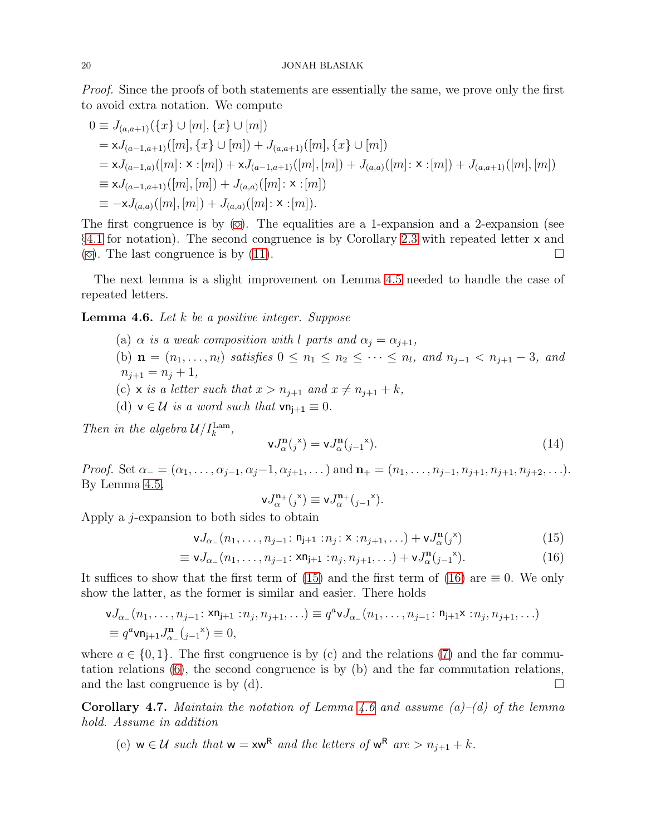Proof. Since the proofs of both statements are essentially the same, we prove only the first to avoid extra notation. We compute

$$
0 \equiv J_{(a,a+1)}(\{x\} \cup [m], \{x\} \cup [m])
$$
  
\n
$$
= xJ_{(a-1,a+1)}([m], \{x\} \cup [m]) + J_{(a,a+1)}([m], \{x\} \cup [m])
$$
  
\n
$$
= xJ_{(a-1,a)}([m]: x : [m]) + xJ_{(a-1,a+1)}([m], [m]) + J_{(a,a)}([m]: x : [m]) + J_{(a,a+1)}([m], [m])
$$
  
\n
$$
\equiv xJ_{(a-1,a+1)}([m], [m]) + J_{(a,a)}([m]: x : [m])
$$
  
\n
$$
\equiv -xJ_{(a,a)}([m], [m]) + J_{(a,a)}([m]: x : [m]).
$$

The first congruence is by  $(\diamond)$ . The equalities are a 1-expansion and a 2-expansion (see §[4.1](#page-14-0) for notation). The second congruence is by Corollary [2.3](#page-6-2) with repeated letter x and  $(\diamond)$ . The last congruence is by [\(11\)](#page-15-0).

The next lemma is a slight improvement on Lemma [4.5](#page-18-1) needed to handle the case of repeated letters.

<span id="page-19-2"></span>**Lemma 4.6.** Let  $k$  be a positive integer. Suppose

(a)  $\alpha$  is a weak composition with l parts and  $\alpha_j = \alpha_{j+1}$ , (b)  $\mathbf{n} = (n_1, ..., n_l)$  satisfies  $0 \le n_1 \le n_2 \le \cdots \le n_l$ , and  $n_{j-1} < n_{j+1} - 3$ , and  $n_{j+1} = n_j + 1,$ (c) x is a letter such that  $x > n_{j+1}$  and  $x \neq n_{j+1} + k$ , (d)  $\mathsf{v} \in \mathcal{U}$  is a word such that  $\mathsf{vn}_{j+1} \equiv 0$ .

Then in the algebra  $\mathcal{U}/I_k^{\text{Lam}}$ ,

$$
\mathsf{v}J_{\alpha}^{\mathbf{n}}(j^{\times}) = \mathsf{v}J_{\alpha}^{\mathbf{n}}(j-1^{\times}).
$$
\n(14)

*Proof.* Set  $\alpha_0 = (\alpha_1, \ldots, \alpha_{i-1}, \alpha_i-1, \alpha_{i+1}, \ldots)$  and  $\mathbf{n}_+ = (n_1, \ldots, n_{i-1}, n_{i+1}, n_{i+1}, n_{i+2}, \ldots)$ . By Lemma [4.5,](#page-18-1)

<span id="page-19-1"></span><span id="page-19-0"></span>
$$
\mathsf{v} J_{\alpha}^{\mathbf{n}_+} (j^{\times}) \equiv \mathsf{v} J_{\alpha}^{\mathbf{n}_+} (j_{-1}^{\times}).
$$

Apply a  $j$ -expansion to both sides to obtain

$$
\mathbf{v}J_{\alpha_{-}}(n_{1},\ldots,n_{j-1}\colon\mathbf{n}_{j+1}:n_{j}\colon\mathbf{x}:n_{j+1},\ldots)+\mathbf{v}J_{\alpha_{j}}^{(\mathbf{x})} \tag{15}
$$

$$
\equiv v J_{\alpha_{-}}(n_1, \dots, n_{j-1} : \mathsf{xn}_{j+1} : n_j, n_{j+1}, \dots) + v J_{\alpha}^{\mathbf{n}}(j-1^{*}). \tag{16}
$$

It suffices to show that the first term of [\(15\)](#page-19-0) and the first term of [\(16\)](#page-19-1) are  $\equiv 0$ . We only show the latter, as the former is similar and easier. There holds

$$
\mathbf{v} J_{\alpha_{-}}(n_1, \ldots, n_{j-1}: \mathbf{x} \mathbf{n}_{j+1} : n_j, n_{j+1}, \ldots) \equiv q^a \mathbf{v} J_{\alpha_{-}}(n_1, \ldots, n_{j-1}: \mathbf{n}_{j+1} \mathbf{x} : n_j, n_{j+1}, \ldots)
$$
  
\n
$$
\equiv q^a \mathbf{v} \mathbf{n}_{j+1} J_{\alpha_{-}}^{\mathbf{n}}(j-1^{\times}) \equiv 0,
$$

where  $a \in \{0, 1\}$ . The first congruence is by (c) and the relations [\(7\)](#page-4-4) and the far commutation relations [\(6\)](#page-4-2), the second congruence is by (b) and the far commutation relations, and the last congruence is by (d).  $\Box$ 

<span id="page-19-3"></span>**Corollary 4.7.** Maintain the notation of Lemma [4.6](#page-19-2) and assume  $(a)$ - $(d)$  of the lemma hold. Assume in addition

(e) 
$$
w \in \mathcal{U}
$$
 such that  $w = xw^R$  and the letters of  $w^R$  are  $> n_{j+1} + k$ .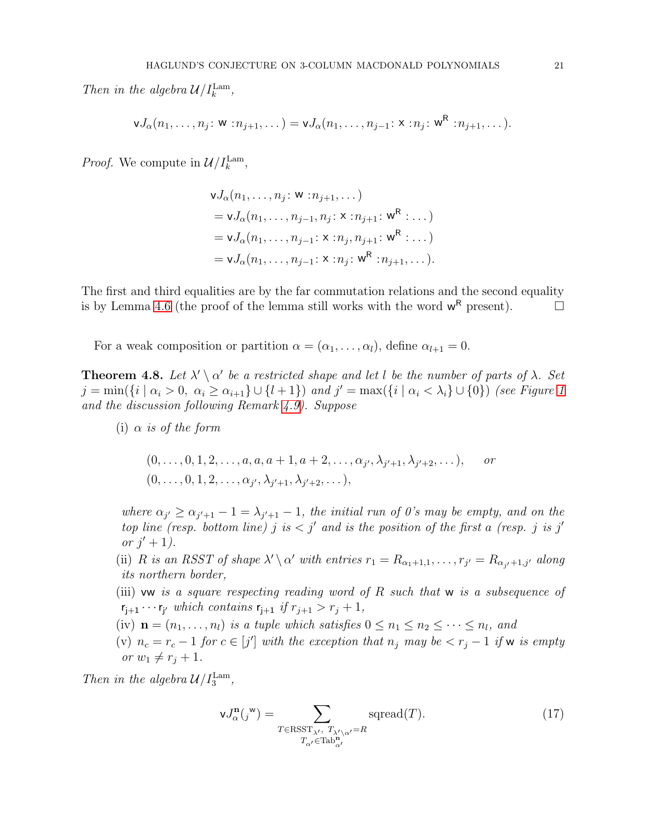Then in the algebra  $\mathcal{U}/I_k^{\text{Lam}}$ ,

$$
\mathsf{v} J_{\alpha}(n_1,\ldots,n_j\colon \mathsf{w}:n_{j+1},\ldots)=\mathsf{v} J_{\alpha}(n_1,\ldots,n_{j-1}\colon \mathsf{x}:n_j\colon \mathsf{w}^\mathsf{R}:n_{j+1},\ldots).
$$

*Proof.* We compute in  $\mathcal{U}/I_k^{\text{Lam}}$ ,

$$
\mathsf{v}J_{\alpha}(n_{1},...,n_{j}: \mathsf{w}:n_{j+1},...)
$$
\n
$$
= \mathsf{v}J_{\alpha}(n_{1},...,n_{j-1},n_{j}: \mathsf{x}:n_{j+1}: \mathsf{w}^{\mathsf{R}}:...)
$$
\n
$$
= \mathsf{v}J_{\alpha}(n_{1},...,n_{j-1}: \mathsf{x}:n_{j},n_{j+1}: \mathsf{w}^{\mathsf{R}}:...)
$$
\n
$$
= \mathsf{v}J_{\alpha}(n_{1},...,n_{j-1}: \mathsf{x}:n_{j}: \mathsf{w}^{\mathsf{R}}:n_{j+1},...).
$$

The first and third equalities are by the far commutation relations and the second equality is by Lemma [4.6](#page-19-2) (the proof of the lemma still works with the word  $w^R$  present).  $\Box$ 

For a weak composition or partition  $\alpha = (\alpha_1, \ldots, \alpha_l)$ , define  $\alpha_{l+1} = 0$ .

<span id="page-20-0"></span>**Theorem 4.8.** Let  $\lambda' \setminus \alpha'$  be a restricted shape and let l be the number of parts of  $\lambda$ . Set  $j = \min(\{i \mid \alpha_i > 0, \alpha_i \ge \alpha_{i+1}\} \cup \{l+1\})$  and  $j' = \max(\{i \mid \alpha_i < \lambda_i\} \cup \{0\})$  (see Figure [1](#page-24-0)) and the discussion following Remark [4.9\)](#page-21-0). Suppose

(i)  $\alpha$  is of the form

$$
(0, \ldots, 0, 1, 2, \ldots, a, a, a+1, a+2, \ldots, \alpha_{j'}, \lambda_{j'+1}, \lambda_{j'+2}, \ldots), \quad or (0, \ldots, 0, 1, 2, \ldots, \alpha_{j'}, \lambda_{j'+1}, \lambda_{j'+2}, \ldots),
$$

where  $\alpha_{j'} \geq \alpha_{j'+1} - 1 = \lambda_{j'+1} - 1$ , the initial run of 0's may be empty, and on the top line (resp. bottom line) j is  $\lt j'$  and is the position of the first a (resp. j is j' or  $j' + 1$ ).

- (ii) R is an RSST of shape  $\lambda' \setminus \alpha'$  with entries  $r_1 = R_{\alpha_1+1,1}, \ldots, r_{j'} = R_{\alpha_{j'}+1,j'}$  along its northern border,
- (iii) vw is a square respecting reading word of  $R$  such that w is a subsequence of  $\mathsf{r}_{j+1} \cdots \mathsf{r}_{j'}$  which contains  $\mathsf{r}_{j+1}$  if  $r_{j+1} > r_j + 1$ ,
- (iv)  $\mathbf{n} = (n_1, \ldots, n_l)$  is a tuple which satisfies  $0 \leq n_1 \leq n_2 \leq \cdots \leq n_l$ , and
- (v)  $n_c = r_c 1$  for  $c \in [j']$  with the exception that  $n_j$  may be  $\langle r_j 1 \rangle$  if w is empty or  $w_1 \neq r_i + 1$ .

Then in the algebra  $\mathcal{U}/I_3^{\text{Lam}}$ ,

<span id="page-20-1"></span>
$$
\mathsf{v}J_{\alpha}^{\mathbf{n}}(j^{\mathbf{w}}) = \sum_{\substack{T \in \text{RSST}_{\lambda'}}, \ T_{\lambda' \setminus \alpha'} = R \\ T_{\alpha'} \in \text{Tab}_{\alpha'}^{\mathbf{n}}}} \text{sepred}(T). \tag{17}
$$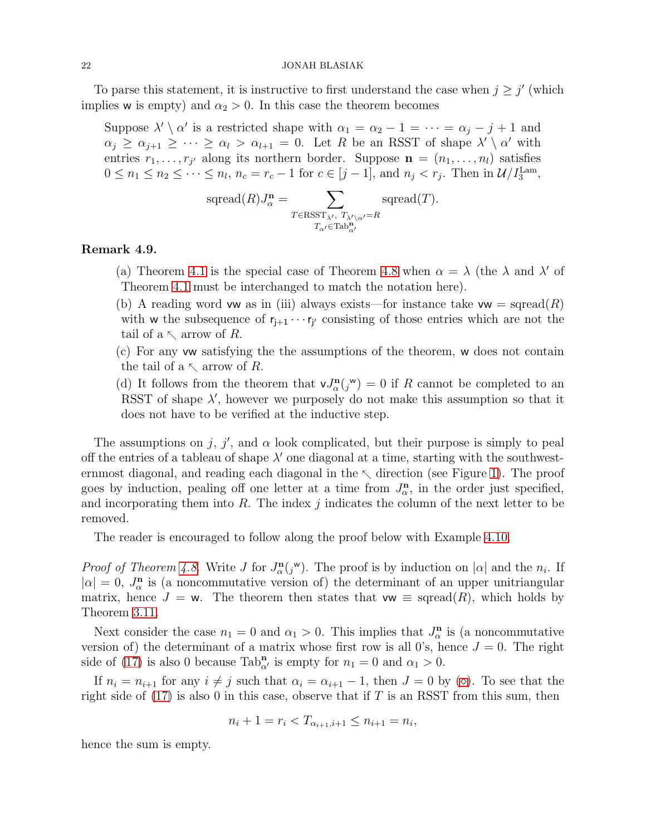To parse this statement, it is instructive to first understand the case when  $j \geq j'$  (which implies w is empty) and  $\alpha_2 > 0$ . In this case the theorem becomes

Suppose  $\lambda' \setminus \alpha'$  is a restricted shape with  $\alpha_1 = \alpha_2 - 1 = \cdots = \alpha_j - j + 1$  and  $\alpha_j \geq \alpha_{j+1} \geq \cdots \geq \alpha_l > \alpha_{l+1} = 0$ . Let R be an RSST of shape  $\lambda' \setminus \alpha'$  with entries  $r_1, \ldots, r_{j'}$  along its northern border. Suppose  $\mathbf{n} = (n_1, \ldots, n_l)$  satisfies  $0 \leq n_1 \leq n_2 \leq \cdots \leq n_l$ ,  $n_c = r_c - 1$  for  $c \in [j-1]$ , and  $n_j < r_j$ . Then in  $\mathcal{U}/I_3^{\text{Lam}}$ ,

$$
\text{spread}(R)J^{n}_{\alpha} = \sum_{\substack{T \in \text{RSST}_{\lambda'}, \ T_{\lambda' \backslash \alpha'} = R \\ T_{\alpha'} \in \text{Tab}^n_{\alpha'}}} \text{spread}(T).
$$

## <span id="page-21-0"></span>Remark 4.9.

- (a) Theorem [4.1](#page-16-1) is the special case of Theorem [4.8](#page-20-0) when  $\alpha = \lambda$  (the  $\lambda$  and  $\lambda'$  of Theorem [4.1](#page-16-1) must be interchanged to match the notation here).
- (b) A reading word vw as in (iii) always exists—for instance take  $vw = \text{spread}(R)$ with w the subsequence of  $r_{j+1} \cdots r_{j'}$  consisting of those entries which are not the tail of a  $\sim$  arrow of R.
- (c) For any vw satisfying the the assumptions of the theorem, w does not contain the tail of a  $\sim$  arrow of R.
- (d) It follows from the theorem that  $vJ_{\alpha}^{n}$  $\mathbf{a}_{\alpha}(j^{\mathbf{w}}) = 0$  if R cannot be completed to an RSST of shape  $\lambda'$ , however we purposely do not make this assumption so that it does not have to be verified at the inductive step.

The assumptions on j, j', and  $\alpha$  look complicated, but their purpose is simply to peal off the entries of a tableau of shape  $\lambda'$  one diagonal at a time, starting with the southwesternmost diagonal, and reading each diagonal in the  $\sim$  direction (see Figure [1\)](#page-24-0). The proof goes by induction, pealing off one letter at a time from  $J_{\alpha}^{\mathbf{n}}$  $\mathbf{a}^{\mathbf{n}}$ , in the order just specified, and incorporating them into  $R$ . The index j indicates the column of the next letter to be removed.

The reader is encouraged to follow along the proof below with Example [4.10.](#page-24-1)

*Proof of Theorem [4.8.](#page-20-0)* Write J for  $J_{\alpha}^{\mathbf{n}}$  $\mathbb{E}_{\alpha}^{\mathbf{n}}(j^{\mathbf{w}})$ . The proof is by induction on  $|\alpha|$  and the  $n_i$ . If  $|\alpha| = 0, J_{\alpha}^{n}$  $\frac{\mathbf{a}}{\alpha}$  is (a noncommutative version of) the determinant of an upper unitriangular matrix, hence  $J = w$ . The theorem then states that  $vw \equiv \text{spread}(R)$ , which holds by Theorem [3.11.](#page-13-0)

Next consider the case  $n_1 = 0$  and  $\alpha_1 > 0$ . This implies that  $J^{\mathbf{n}}_{\alpha}$  $\frac{\mathbf{a}}{\alpha}$  is (a noncommutative version of) the determinant of a matrix whose first row is all 0's, hence  $J = 0$ . The right side of [\(17\)](#page-20-1) is also 0 because Tab<sub>a</sub><sup>n</sup> is empty for  $n_1 = 0$  and  $\alpha_1 > 0$ .

If  $n_i = n_{i+1}$  for any  $i \neq j$  such that  $\alpha_i = \alpha_{i+1} - 1$ , then  $J = 0$  by ( $\diamond$ ). To see that the right side of  $(17)$  is also 0 in this case, observe that if T is an RSST from this sum, then

$$
n_i + 1 = r_i < T_{\alpha_{i+1}, i+1} \le n_{i+1} = n_i,
$$

hence the sum is empty.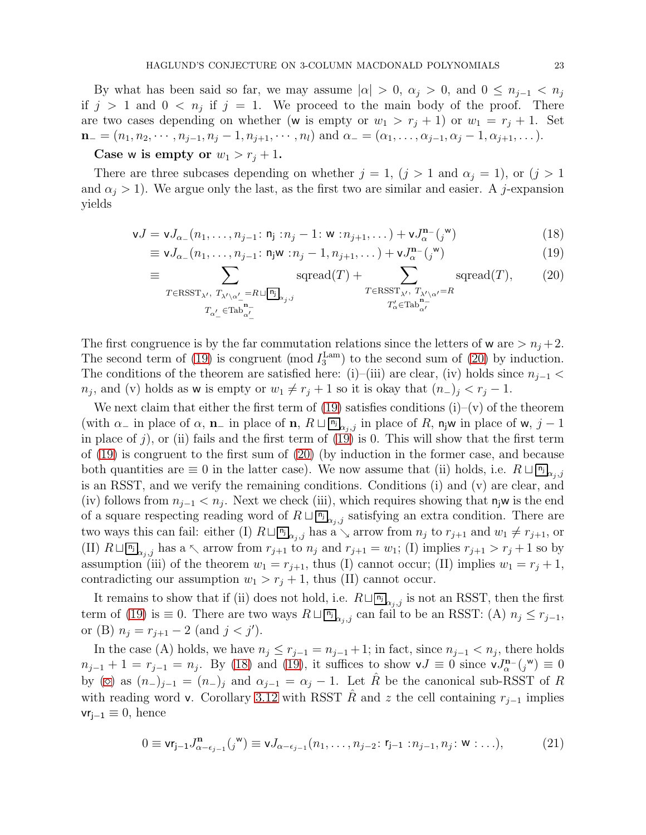By what has been said so far, we may assume  $|\alpha| > 0$ ,  $\alpha_i > 0$ , and  $0 \leq n_{i-1} < n_i$ if  $j > 1$  and  $0 < n_j$  if  $j = 1$ . We proceed to the main body of the proof. There are two cases depending on whether (w is empty or  $w_1 > r_j + 1$ ) or  $w_1 = r_j + 1$ . Set  **and**  $\alpha = (\alpha_1, ..., \alpha_{j-1}, \alpha_j - 1, \alpha_{j+1}, ...)$ **.** 

# Case w is empty or  $w_1 > r_j + 1$ .

There are three subcases depending on whether  $j = 1$ ,  $(j > 1$  and  $\alpha_j = 1$ , or  $(j > 1$ and  $\alpha_j > 1$ ). We argue only the last, as the first two are similar and easier. A j-expansion yields

$$
\mathbf{v}J = \mathbf{v}J_{\alpha_{-}}(n_1, \dots, n_{j-1}; \mathbf{n}_j : n_j - 1; \mathbf{w} : n_{j+1}, \dots) + \mathbf{v}J_{\alpha_{-}}^{n_{-}}(j^{\mathbf{w}})
$$
(18)

$$
\equiv \mathbf{v} J_{\alpha_{-}}(n_1,\ldots,n_{j-1};\,\mathbf{n}_j\mathbf{w}:n_j-1,n_{j+1},\ldots)+\mathbf{v} J_{\alpha_{-}}^{\mathbf{n}_{-}}(j^{\mathbf{w}})
$$
(19)

<span id="page-22-2"></span><span id="page-22-1"></span><span id="page-22-0"></span>
$$
\equiv \sum_{T \in \text{RSST}_{\lambda'}, T_{\lambda' \setminus \alpha'_-} = R \sqcup \boxed{\mathsf{n}_j}_{\alpha_j, j}} \text{sqread}(T) + \sum_{T \in \text{RSST}_{\lambda'}, T_{\lambda' \setminus \alpha'} = R} \text{sqread}(T), \tag{20}
$$
\n
$$
\sum_{T_{\alpha'_-} \in \text{Tab}_{\alpha'_-}^{\mathbf{n}_-}}
$$

The first congruence is by the far commutation relations since the letters of **w** are 
$$
> n_j + 2
$$
.  
The second term of (19) is congruent (mod  $I_3^{\text{Lam}}$ ) to the second sum of (20) by induction.  
The conditions of the theorem are satisfied here: (i)–(iii) are clear, (iv) holds since  $n_{j-1} <$ 

 $n_j$ , and (v) holds as w is empty or  $w_1 \neq r_j + 1$  so it is okay that  $(n_{-})_j < r_j - 1$ .

We next claim that either the first term of  $(19)$  satisfies conditions  $(i)-(v)$  of the theorem (with  $\alpha_-$  in place of  $\alpha$ , **n**<sub>-</sub> in place of **n**,  $R \sqcup \overline{[n_j]}_{\alpha_j,j}$  in place of R,  $n_j$ w in place of w,  $j-1$ in place of j), or (ii) fails and the first term of  $(19)$  is 0. This will show that the first term of [\(19\)](#page-22-0) is congruent to the first sum of [\(20\)](#page-22-1) (by induction in the former case, and because both quantities are  $\equiv 0$  in the latter case). We now assume that (ii) holds, i.e.  $R \sqcup_{i} \overline{p_i}_{\alpha_j,j}$ is an RSST, and we verify the remaining conditions. Conditions (i) and (v) are clear, and (iv) follows from  $n_{j-1} < n_j$ . Next we check (iii), which requires showing that  $n_jw$  is the end of a square respecting reading word of  $R \sqcup \overline{\mathfrak{m}}_{\alpha_j,j}$  satisfying an extra condition. There are two ways this can fail: either (I)  $R\sqcup_{j=1}^{\lfloor n\rfloor}$  has a  $\setminus_i$  arrow from  $n_j$  to  $r_{j+1}$  and  $w_1 \neq r_{j+1}$ , or (II)  $R \sqcup \overline{\mathfrak{n}}_{\alpha_j,j}$  has a  $\leq$  arrow from  $r_{j+1}$  to  $n_j$  and  $r_{j+1} = w_1$ ; (I) implies  $r_{j+1} > r_j + 1$  so by assumption (iii) of the theorem  $w_1 = r_{j+1}$ , thus (I) cannot occur; (II) implies  $w_1 = r_j + 1$ , contradicting our assumption  $w_1 > r_i + 1$ , thus (II) cannot occur.

It remains to show that if (ii) does not hold, i.e.  $R\sqcup_{i}$  is not an RSST, then the first term of [\(19\)](#page-22-0) is  $\equiv 0$ . There are two ways  $R \sqcup \boxed{\mathbb{n}_{\alpha_j,j}}$  can fail to be an RSST: (A)  $n_j \leq r_{j-1,j}$ , or (B)  $n_j = r_{j+1} - 2$  (and  $j < j'$ ).

In the case (A) holds, we have  $n_j \leq r_{j-1} = n_{j-1} + 1$ ; in fact, since  $n_{j-1} < n_j$ , there holds  $n_{j-1} + 1 = r_{j-1} = n_j$ . By [\(18\)](#page-22-2) and [\(19\)](#page-22-0), it suffices to show  $vJ \equiv 0$  since  $vJ_\alpha^{n-1}(j^w) \equiv 0$ by ( $\diamond$ ) as  $(n_{-})_{j-1} = (n_{-})_j$  and  $\alpha_{j-1} = \alpha_j - 1$ . Let  $\hat{R}$  be the canonical sub-RSST of R with reading word v. Corollary [3.12](#page-13-2) with RSST  $\hat{R}$  and z the cell containing  $r_{i-1}$  implies  $vr_{i-1} \equiv 0$ , hence

<span id="page-22-3"></span>
$$
0 \equiv \mathsf{vr}_{j-1} J^{\mathbf{n}}_{\alpha - \epsilon_{j-1}}(j^{\mathbf{w}}) \equiv \mathsf{v} J_{\alpha - \epsilon_{j-1}}(n_1, \dots, n_{j-2}; \, \mathsf{r}_{j-1} : n_{j-1}, n_j : \mathbf{w} : \dots), \tag{21}
$$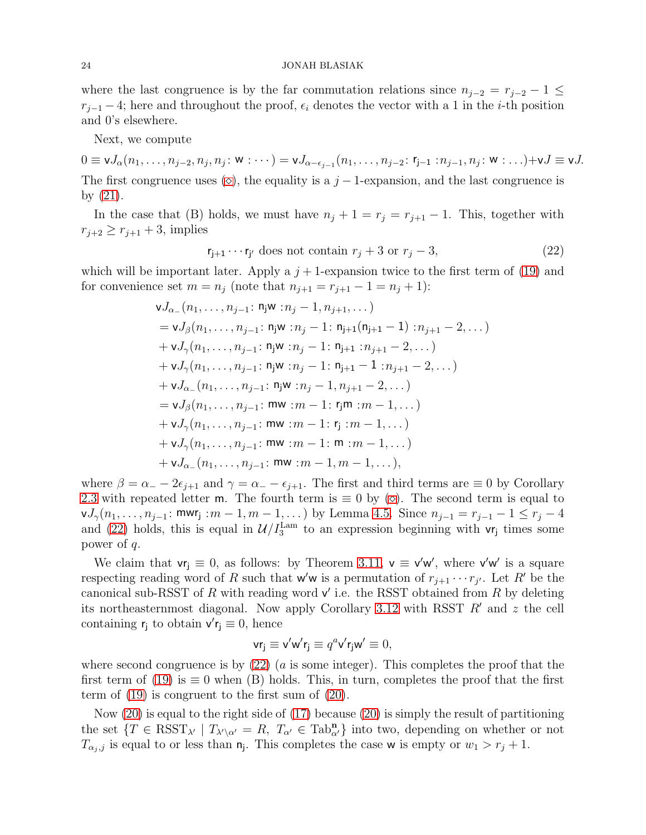where the last congruence is by the far commutation relations since  $n_{j-2} = r_{j-2} - 1 \leq$  $r_{i-1}$  – 4; here and throughout the proof,  $\epsilon_i$  denotes the vector with a 1 in the *i*-th position and 0's elsewhere.

Next, we compute

 $0 \equiv \mathsf{v} J_{\alpha}(n_1,\ldots,n_{j-2},n_j,n_j \colon \mathsf{w}:\cdots)=\mathsf{v} J_{\alpha-\epsilon_{j-1}}(n_1,\ldots,n_{j-2} \colon \mathsf{r}_{j-1}:n_{j-1},n_j \colon \mathsf{w}:\ldots)+\mathsf{v} J \equiv \mathsf{v} J.$ The first congruence uses ( $\diamond$ ), the equality is a  $j-1$ -expansion, and the last congruence is by [\(21\)](#page-22-3).

In the case that (B) holds, we must have  $n_j + 1 = r_j = r_{j+1} - 1$ . This, together with  $r_{j+2} \ge r_{j+1} + 3$ , implies

<span id="page-23-0"></span>
$$
\mathbf{r}_{j+1} \cdots \mathbf{r}_{j'} \text{ does not contain } r_j + 3 \text{ or } r_j - 3,
$$
\n
$$
(22)
$$

which will be important later. Apply a  $j+1$ -expansion twice to the first term of [\(19\)](#page-22-0) and for convenience set  $m = n_j$  (note that  $n_{j+1} = r_{j+1} - 1 = n_j + 1$ ):

$$
\mathbf{v}J_{\alpha_{-}}(n_{1},\ldots,n_{j-1}\colon\mathbf{n}_{j}\mathbf{w}:n_{j}-1,n_{j+1},\ldots)
$$
\n
$$
= \mathbf{v}J_{\beta}(n_{1},\ldots,n_{j-1}\colon\mathbf{n}_{j}\mathbf{w}:n_{j}-1\colon\mathbf{n}_{j+1}(n_{j+1}-1):n_{j+1}-2,\ldots)
$$
\n
$$
+ \mathbf{v}J_{\gamma}(n_{1},\ldots,n_{j-1}\colon\mathbf{n}_{j}\mathbf{w}:n_{j}-1\colon\mathbf{n}_{j+1}:n_{j+1}-2,\ldots)
$$
\n
$$
+ \mathbf{v}J_{\gamma}(n_{1},\ldots,n_{j-1}\colon\mathbf{n}_{j}\mathbf{w}:n_{j}-1\colon\mathbf{n}_{j+1}-1:n_{j+1}-2,\ldots)
$$
\n
$$
+ \mathbf{v}J_{\alpha_{-}}(n_{1},\ldots,n_{j-1}\colon\mathbf{n}_{j}\mathbf{w}:n_{j}-1,n_{j+1}-2,\ldots)
$$
\n
$$
= \mathbf{v}J_{\beta}(n_{1},\ldots,n_{j-1}\colon\mathbf{m}\mathbf{w}:m-1\colon\mathbf{r}_{j}\mathbf{m}:m-1,\ldots)
$$
\n
$$
+ \mathbf{v}J_{\gamma}(n_{1},\ldots,n_{j-1}\colon\mathbf{m}\mathbf{w}:m-1\colon\mathbf{r}_{j}\colon m-1,\ldots)
$$
\n
$$
+ \mathbf{v}J_{\gamma}(n_{1},\ldots,n_{j-1}\colon\mathbf{m}\mathbf{w}:m-1\colon\mathbf{m}:m-1,\ldots)
$$
\n
$$
+ \mathbf{v}J_{\alpha_{-}}(n_{1},\ldots,n_{j-1}\colon\mathbf{m}\mathbf{w}:m-1,m-1,\ldots),
$$

where  $\beta = \alpha_- - 2\epsilon_{j+1}$  and  $\gamma = \alpha_- - \epsilon_{j+1}$ . The first and third terms are  $\equiv 0$  by Corollary [2.3](#page-6-2) with repeated letter m. The fourth term is  $\equiv 0$  by  $(\diamond)$ . The second term is equal to  $vJ_{\gamma}(n_1,\ldots,n_{j-1}:\text{mwr}_j:m-1,m-1,\ldots)$  by Lemma [4.5.](#page-18-1) Since  $n_{j-1}=r_{j-1}-1\leq r_j-4$ and [\(22\)](#page-23-0) holds, this is equal in  $\mathcal{U}/I_3^{\text{Lam}}$  to an expression beginning with  $\mathsf{vr}_j$  times some power of q.

We claim that  ${\sf vr}_j \equiv 0$ , as follows: by Theorem [3.11,](#page-13-0)  ${\sf v} \equiv {\sf v}'{\sf w}'$ , where  ${\sf v}'{\sf w}'$  is a square respecting reading word of R such that  $w'w$  is a permutation of  $r_{j+1} \cdots r_{j'}$ . Let R' be the canonical sub-RSST of  $R$  with reading word  $\mathsf{v}'$  i.e. the RSST obtained from  $R$  by deleting its northeasternmost diagonal. Now apply Corollary [3.12](#page-13-2) with RSST R′ and z the cell containing  $\mathbf{r}_j$  to obtain  $\mathbf{v}'\mathbf{r}_j \equiv 0$ , hence

$$
\mathsf{vr}_j \equiv \mathsf{v}' \mathsf{w}' \mathsf{r}_j \equiv q^a \mathsf{v}' \mathsf{r}_j \mathsf{w}' \equiv 0,
$$

where second congruence is by  $(22)$  (a is some integer). This completes the proof that the first term of [\(19\)](#page-22-0) is  $\equiv 0$  when (B) holds. This, in turn, completes the proof that the first term of [\(19\)](#page-22-0) is congruent to the first sum of [\(20\)](#page-22-1).

Now [\(20\)](#page-22-1) is equal to the right side of [\(17\)](#page-20-1) because [\(20\)](#page-22-1) is simply the result of partitioning the set  $\overline{Y'} \in \text{RSST}_{\lambda'} \mid T_{\lambda' \setminus \alpha'} = R$ ,  $T_{\alpha'} \in \text{Tab}_{\alpha'}^{\mathbf{n}}$  into two, depending on whether or not  $T_{\alpha_j,j}$  is equal to or less than  $n_j$ . This completes the case w is empty or  $w_1 > r_j + 1$ .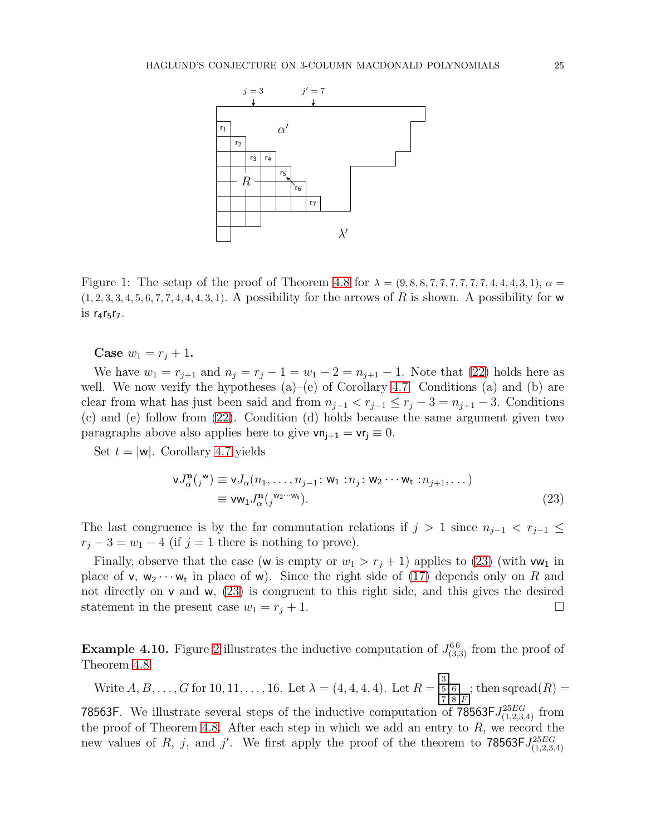<span id="page-24-0"></span>

Figure 1: The setup of the proof of Theorem [4.8](#page-20-0) for  $\lambda = (9, 8, 8, 7, 7, 7, 7, 7, 7, 4, 4, 4, 3, 1), \alpha =$  $(1, 2, 3, 3, 4, 5, 6, 7, 7, 4, 4, 4, 3, 1)$ . A possibility for the arrows of R is shown. A possibility for w is  $r_4r_5r_7$ .

**Case**  $w_1 = r_i + 1$ .

We have  $w_1 = r_{j+1}$  and  $n_j = r_j - 1 = w_1 - 2 = n_{j+1} - 1$ . Note that [\(22\)](#page-23-0) holds here as well. We now verify the hypotheses  $(a)$ – $(e)$  of Corollary [4.7.](#page-19-3) Conditions  $(a)$  and  $(b)$  are clear from what has just been said and from  $n_{j-1} < r_{j-1} \le r_j - 3 = n_{j+1} - 3$ . Conditions (c) and (e) follow from [\(22\)](#page-23-0). Condition (d) holds because the same argument given two paragraphs above also applies here to give  $\mathsf{vn}_{j+1} = \mathsf{vr}_j \equiv 0$ .

Set  $t = |w|$ . Corollary [4.7](#page-19-3) yields

<span id="page-24-2"></span>
$$
\mathsf{v}J_{\alpha}^{\mathbf{n}}(j^{\mathbf{w}}) \equiv \mathsf{v}J_{\alpha}(n_1,\ldots,n_{j-1}\colon \mathsf{w}_1 : n_j \colon \mathsf{w}_2 \cdots \mathsf{w}_\mathsf{t} : n_{j+1},\ldots)
$$
  
\n
$$
\equiv \mathsf{v} \mathsf{w}_1 J_{\alpha}^{\mathbf{n}}(j^{\mathsf{w}_2 \cdots \mathsf{w}_\mathsf{t}}).
$$
\n(23)

The last congruence is by the far commutation relations if  $j > 1$  since  $n_{j-1} < r_{j-1} \leq$  $r_j - 3 = w_1 - 4$  (if  $j = 1$  there is nothing to prove).

Finally, observe that the case (w is empty or  $w_1 > r_i + 1$ ) applies to [\(23\)](#page-24-2) (with vw<sub>1</sub> in place of  $\mathsf{v}, \mathsf{w}_2 \cdots \mathsf{w}_t$  in place of  $\mathsf{w}$ ). Since the right side of [\(17\)](#page-20-1) depends only on R and not directly on v and w, [\(23\)](#page-24-2) is congruent to this right side, and this gives the desired statement in the present case  $w_1 = r_j + 1$ .

<span id="page-24-1"></span>**Example 4.10.** Figure [2](#page-25-0) illustrates the inductive computation of  $J_{(3,3)}^{66}$  from the proof of Theorem [4.8.](#page-20-0)

Write  $A, B, \ldots, G$  for  $10, 11, \ldots, 16$ . Let  $\lambda = (4, 4, 4, 4)$ . Let  $R = \frac{3}{5}$ 5 6 7 8 F ; then sqread $(R) =$ 

78563F. We illustrate several steps of the inductive computation of 78563F $J_{(1,2,3,4)}^{25EG}$  from the proof of Theorem [4.8.](#page-20-0) After each step in which we add an entry to  $R$ , we record the new values of R, j, and j'. We first apply the proof of the theorem to 78563F $J_{(1,2,3,4)}^{25EG}$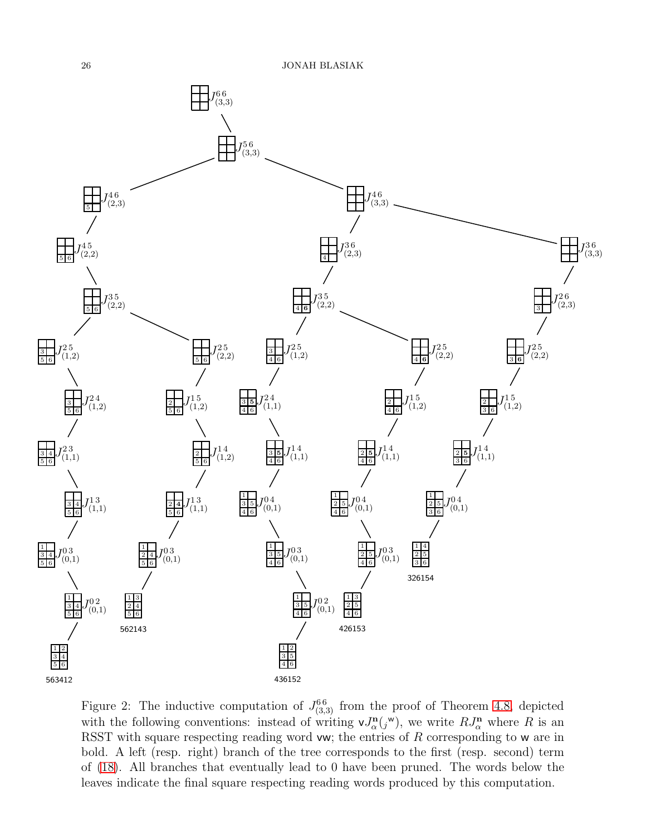<span id="page-25-0"></span>

Figure 2: The inductive computation of  $J_{(3,3)}^{66}$  from the proof of Theorem [4.8,](#page-20-0) depicted with the following conventions: instead of writing  $vJ_{\alpha}^{n}$  $\mathbb{R}^{\mathbf{n}}_{\alpha}(j^{\mathbf{w}})$ , we write  $R J_{\alpha}^{\mathbf{n}}$  where R is an RSST with square respecting reading word vw; the entries of  $R$  corresponding to w are in bold. A left (resp. right) branch of the tree corresponds to the first (resp. second) term of [\(18\)](#page-22-2). All branches that eventually lead to 0 have been pruned. The words below the leaves indicate the final square respecting reading words produced by this computation.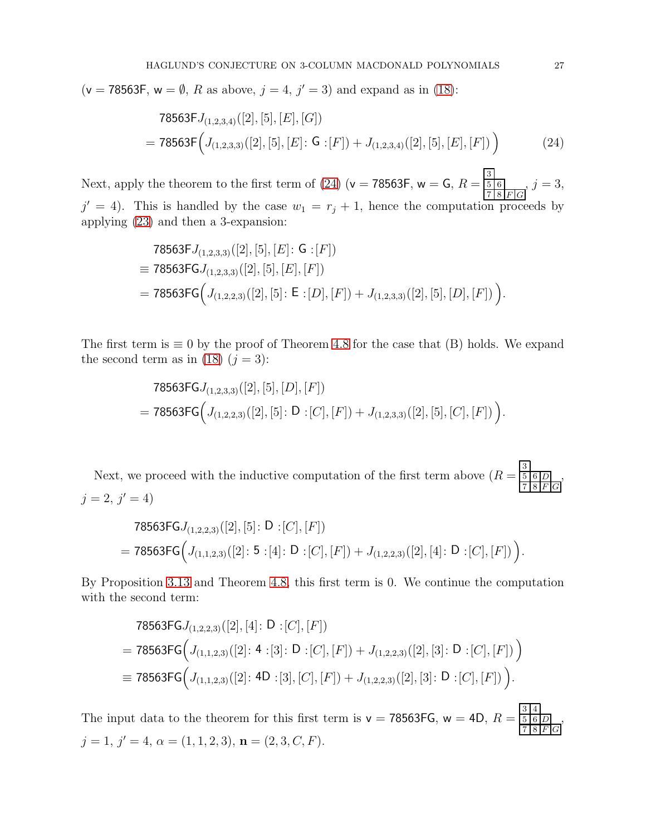$(v = 78563F, w = \emptyset, R$  as above,  $j = 4, j' = 3$  and expand as in [\(18\)](#page-22-2):

<span id="page-26-0"></span>78563F
$$
J_{(1,2,3,4)}([2], [5], [E], [G])
$$
  
= 78563F $\Big(J_{(1,2,3,3)}([2], [5], [E]: G:[F]) + J_{(1,2,3,4)}([2], [5], [E], [F])\Big)$  (24)

Next, apply the theorem to the first term of [\(24\)](#page-26-0) ( $v = 78563$ F,  $w = G$ ,  $R = \frac{3}{5}$ 5 6 7 8 F G  $, j = 3,$  $j' = 4$ ). This is handled by the case  $w_1 = r_j + 1$ , hence the computation proceeds by applying [\(23\)](#page-24-2) and then a 3-expansion:

78563F
$$
J_{(1,2,3,3)}([2], [5], [E]: G:[F])
$$
  
\n $\equiv$  78563FG $J_{(1,2,3,3)}([2], [5], [E], [F])$   
\n $\equiv$  78563FG $\Big(J_{(1,2,2,3)}([2], [5]: E:[D], [F]) + J_{(1,2,3,3)}([2], [5], [D], [F]) \Big).$ 

The first term is  $\equiv 0$  by the proof of Theorem [4.8](#page-20-0) for the case that (B) holds. We expand the second term as in [\(18\)](#page-22-2)  $(j = 3)$ :

78563FGJ<sub>(1,2,3,3)</sub>([2], [5], [D], [F])  
= 78563FG
$$
\Big(J_{(1,2,2,3)}([2],[5]:\mathsf{D}:[C],[F])+J_{(1,2,3,3)}([2],[5],[C],[F])\Big).
$$

Next, we proceed with the inductive computation of the first term above  $(R = \frac{3}{5})$ 5 6 D  $7 \, | \, 8 \, |F| \, G$ ,  $j = 2, j' = 4$ 

78563FGJ<sub>(1,2,2,3)</sub>([2], [5]: D : [C], [F])  
= 78563FG
$$
\Big(J_{(1,1,2,3)}([2]: 5 : [4]: D : [C], [F]) + J_{(1,2,2,3)}([2], [4] : D : [C], [F])\Big)
$$
.

By Proposition [3.13](#page-14-3) and Theorem [4.8,](#page-20-0) this first term is 0. We continue the computation with the second term:

78563FGJ<sub>(1,2,2,3)</sub>([2], [4]: D : [C], [F])  
= 78563FG
$$
\Big(J_{(1,1,2,3)}([2]: 4:[3]: D : [C], [F]) + J_{(1,2,2,3)}([2], [3]: D : [C], [F])\Big)
$$
  
= 78563FG $\Big(J_{(1,1,2,3)}([2]: 4D : [3], [C], [F]) + J_{(1,2,2,3)}([2], [3]: D : [C], [F])\Big)$ .

The input data to the theorem for this first term is  $v = 78563FG$ ,  $w = 4D$ ,  $R =$ 3 4 5 6 D  $7 \, | \, 8 \, |F| \, G$ ,  $j = 1, j' = 4, \alpha = (1, 1, 2, 3), \mathbf{n} = (2, 3, C, F).$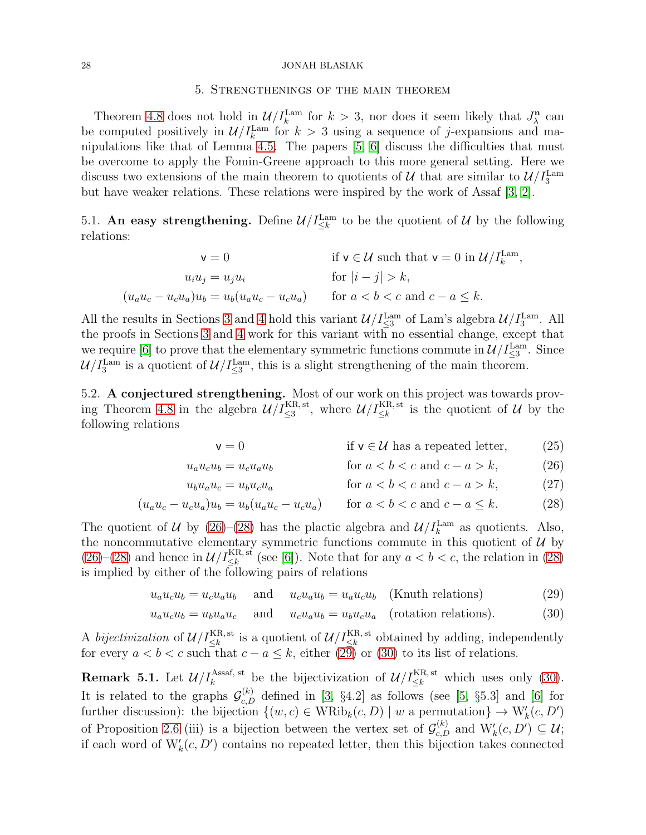#### 5. Strengthenings of the main theorem

<span id="page-27-0"></span>Theorem [4.8](#page-20-0) does not hold in  $\mathcal{U}/I_k^{\text{Lam}}$  for  $k > 3$ , nor does it seem likely that  $J_{\lambda}^{\textbf{n}}$  $\lambda^{\mathbf{n}}$  can be computed positively in  $\mathcal{U}/I_k^{\text{Lam}}$  for  $k > 3$  using a sequence of j-expansions and manipulations like that of Lemma [4.5.](#page-18-1) The papers [\[5,](#page-28-3) [6\]](#page-28-4) discuss the difficulties that must be overcome to apply the Fomin-Greene approach to this more general setting. Here we discuss two extensions of the main theorem to quotients of  $\mathcal{U}$  that are similar to  $\mathcal{U}/I_3^{\text{Lam}}$ but have weaker relations. These relations were inspired by the work of Assaf [\[3,](#page-28-0) [2\]](#page-28-5).

5.1. An easy strengthening. Define  $\mathcal{U}/I_{\leq k}^{\text{Lam}}$  to be the quotient of U by the following relations:

$$
\mathsf{v} = 0 \quad \text{if } \mathsf{v} \in \mathcal{U} \text{ such that } \mathsf{v} = 0 \text{ in } \mathcal{U}/I_k^{\text{Lam}},
$$
\n
$$
u_i u_j = u_j u_i \quad \text{for } |i - j| > k,
$$
\n
$$
(u_a u_c - u_c u_a) u_b = u_b (u_a u_c - u_c u_a) \quad \text{for } a < b < c \text{ and } c - a \le k.
$$

All the results in Sections [3](#page-9-1) and [4](#page-14-1) hold this variant  $\mathcal{U}/I_{\leq 3}^{\text{Lam}}$  of Lam's algebra  $\mathcal{U}/I_3^{\text{Lam}}$ . All the proofs in Sections [3](#page-9-1) and [4](#page-14-1) work for this variant with no essential change, except that we require [\[6\]](#page-28-4) to prove that the elementary symmetric functions commute in  $\mathcal{U}/I_{\leq 3}^{\text{Lam}}$ . Since  $\mathcal{U}/I_3^{\text{Lam}}$  is a quotient of  $\mathcal{U}/I_{\leq 3}^{\text{Lam}}$ , this is a slight strengthening of the main theorem.

5.2. A conjectured strengthening. Most of our work on this project was towards prov-ing Theorem [4.8](#page-20-0) in the algebra  $\mathcal{U}/I_{\leq 3}^{KR, st}$ , where  $\mathcal{U}/I_{\leq k}^{KR, st}$  is the quotient of  $\mathcal{U}$  by the following relations

<span id="page-27-6"></span><span id="page-27-5"></span><span id="page-27-4"></span><span id="page-27-3"></span><span id="page-27-2"></span>
$$
\mathsf{v} = 0 \qquad \qquad \text{if } \mathsf{v} \in \mathcal{U} \text{ has a repeated letter,} \qquad (25)
$$

$$
u_a u_c u_b = u_c u_a u_b \qquad \text{for } a < b < c \text{ and } c - a > k,\tag{26}
$$

$$
u_b u_a u_c = u_b u_c u_a \qquad \qquad \text{for } a < b < c \text{ and } c - a > k,\tag{27}
$$

$$
(u_a u_c - u_c u_a) u_b = u_b (u_a u_c - u_c u_a) \qquad \text{for } a < b < c \text{ and } c - a \leq k. \tag{28}
$$

The quotient of U by [\(26\)](#page-27-2)–[\(28\)](#page-27-3) has the plactic algebra and  $\mathcal{U}/I_k^{\text{Lam}}$  as quotients. Also, the noncommutative elementary symmetric functions commute in this quotient of  $\mathcal{U}$  by  $(26)-(28)$  $(26)-(28)$  $(26)-(28)$  and hence in  $\mathcal{U}/I_{\leq k}^{KR, st}$  (see [\[6\]](#page-28-4)). Note that for any  $a < b < c$ , the relation in [\(28\)](#page-27-3) is implied by either of the following pairs of relations

$$
u_a u_c u_b = u_c u_a u_b \quad \text{and} \quad u_c u_a u_b = u_a u_c u_b \quad \text{(Knuth relations)} \tag{29}
$$

$$
u_a u_c u_b = u_b u_a u_c \quad \text{and} \quad u_c u_a u_b = u_b u_c u_a \quad \text{(rotation relations)}.
$$
 (30)

A bijectivization of  $\mathcal{U}/I_{\leq k}^{KR, st}$  is a quotient of  $\mathcal{U}/I_{\leq k}^{KR, st}$  obtained by adding, independently for every  $a < b < c$  such that  $c - a \leq k$ , either [\(29\)](#page-27-4) or [\(30\)](#page-27-5) to its list of relations.

<span id="page-27-1"></span>**Remark 5.1.** Let  $\mathcal{U}/I_k^{\text{Assaf, st}}$  be the bijectivization of  $\mathcal{U}/I_{\leq k}^{\text{KR, st}}$  which uses only [\(30\)](#page-27-5). It is related to the graphs  $\mathcal{G}_{c,D}^{(k)}$  defined in [\[3,](#page-28-0) §4.2] as follows (see [\[5,](#page-28-3) §5.3] and [\[6\]](#page-28-4) for further discussion): the bijection  $\{(w, c) \in \text{WRib}_k(c, D) \mid w \text{ a permutation}\}\rightarrow W'_{k}(c, D')$ of Proposition [2.6](#page-7-1) (iii) is a bijection between the vertex set of  $\mathcal{G}_{c,D}^{(k)}$  and  $W'_{k}(c, D') \subseteq \mathcal{U}$ ; if each word of  $W'_{k}(c, D')$  contains no repeated letter, then this bijection takes connected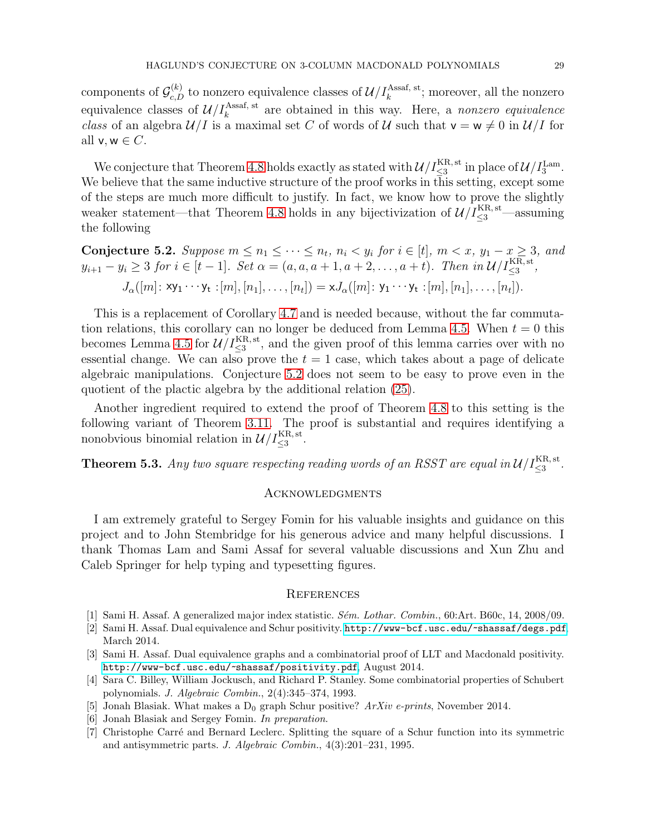components of  $\mathcal{G}_{c,D}^{(k)}$  to nonzero equivalence classes of  $\mathcal{U}/I_k^{\text{Assaf, st}}$ ; moreover, all the nonzero equivalence classes of  $\mathcal{U}/I_k^{\text{Assaf, st}}$  are obtained in this way. Here, a nonzero equivalence class of an algebra  $\mathcal{U}/I$  is a maximal set C of words of U such that  $v = w \neq 0$  in  $\mathcal{U}/I$  for all  $v, w \in C$ .

We conjecture that Theorem [4.8](#page-20-0) holds exactly as stated with  $\mathcal{U}/I^{\text{KR,st}}_{\leq 3}$  in place of  $\mathcal{U}/I^{\text{Lam}}_3$ . We believe that the same inductive structure of the proof works in this setting, except some of the steps are much more difficult to justify. In fact, we know how to prove the slightly weaker statement—that Theorem [4.8](#page-20-0) holds in any bijectivization of  $\mathcal{U}/I_{\leq 3}^{KR, st}$ —assuming the following

<span id="page-28-7"></span>Conjecture 5.2. Suppose  $m \leq n_1 \leq \cdots \leq n_t$ ,  $n_i < y_i$  for  $i \in [t]$ ,  $m < x$ ,  $y_1 - x \geq 3$ , and  $y_{i+1} - y_i \ge 3$  for  $i \in [t-1]$ . Set  $\alpha = (a, a, a+1, a+2, \ldots, a+t)$ . Then in  $\mathcal{U}/I_{\leq 3}^{\text{KR, st}}$ ,  $J_{\alpha}([m]: \mathsf{xy_1} \cdots \mathsf{y_t} : [m], [n_1], \ldots, [n_t]) = \mathsf{x} J_{\alpha}([m]: \mathsf{y_1} \cdots \mathsf{y_t} : [m], [n_1], \ldots, [n_t]).$ 

This is a replacement of Corollary [4.7](#page-19-3) and is needed because, without the far commuta-tion relations, this corollary can no longer be deduced from Lemma [4.5.](#page-18-1) When  $t = 0$  this becomes Lemma [4.5](#page-18-1) for  $\mathcal{U}/I_{\leq 3}^{\text{KR, st}}$ , and the given proof of this lemma carries over with no essential change. We can also prove the  $t = 1$  case, which takes about a page of delicate algebraic manipulations. Conjecture [5.2](#page-28-7) does not seem to be easy to prove even in the quotient of the plactic algebra by the additional relation [\(25\)](#page-27-6).

Another ingredient required to extend the proof of Theorem [4.8](#page-20-0) to this setting is the following variant of Theorem [3.11.](#page-13-0) The proof is substantial and requires identifying a nonobvious binomial relation in  $\mathcal{U}/I^{\text{KR},\text{st}}_{\leq 3}$ .

**Theorem 5.3.** Any two square respecting reading words of an RSST are equal in  $\mathcal{U}/I_{\leq 3}^{\text{KR, st}}$ .

## **ACKNOWLEDGMENTS**

I am extremely grateful to Sergey Fomin for his valuable insights and guidance on this project and to John Stembridge for his generous advice and many helpful discussions. I thank Thomas Lam and Sami Assaf for several valuable discussions and Xun Zhu and Caleb Springer for help typing and typesetting figures.

#### **REFERENCES**

- <span id="page-28-5"></span><span id="page-28-2"></span>[1] Sami H. Assaf. A generalized major index statistic. Sém. Lothar. Combin., 60:Art. B60c, 14, 2008/09.
- <span id="page-28-0"></span>[2] Sami H. Assaf. Dual equivalence and Schur positivity. <http://www-bcf.usc.edu/~shassaf/degs.pdf>, March 2014.
- [3] Sami H. Assaf. Dual equivalence graphs and a combinatorial proof of LLT and Macdonald positivity. <http://www-bcf.usc.edu/~shassaf/positivity.pdf>, August 2014.
- <span id="page-28-6"></span>[4] Sara C. Billey, William Jockusch, and Richard P. Stanley. Some combinatorial properties of Schubert polynomials. J. Algebraic Combin., 2(4):345–374, 1993.
- <span id="page-28-4"></span><span id="page-28-3"></span>[5] Jonah Blasiak. What makes a  $D_0$  graph Schur positive?  $ArXiv$  e-prints, November 2014.
- <span id="page-28-1"></span>[6] Jonah Blasiak and Sergey Fomin. In preparation.
- [7] Christophe Carré and Bernard Leclerc. Splitting the square of a Schur function into its symmetric and antisymmetric parts. J. Algebraic Combin., 4(3):201–231, 1995.